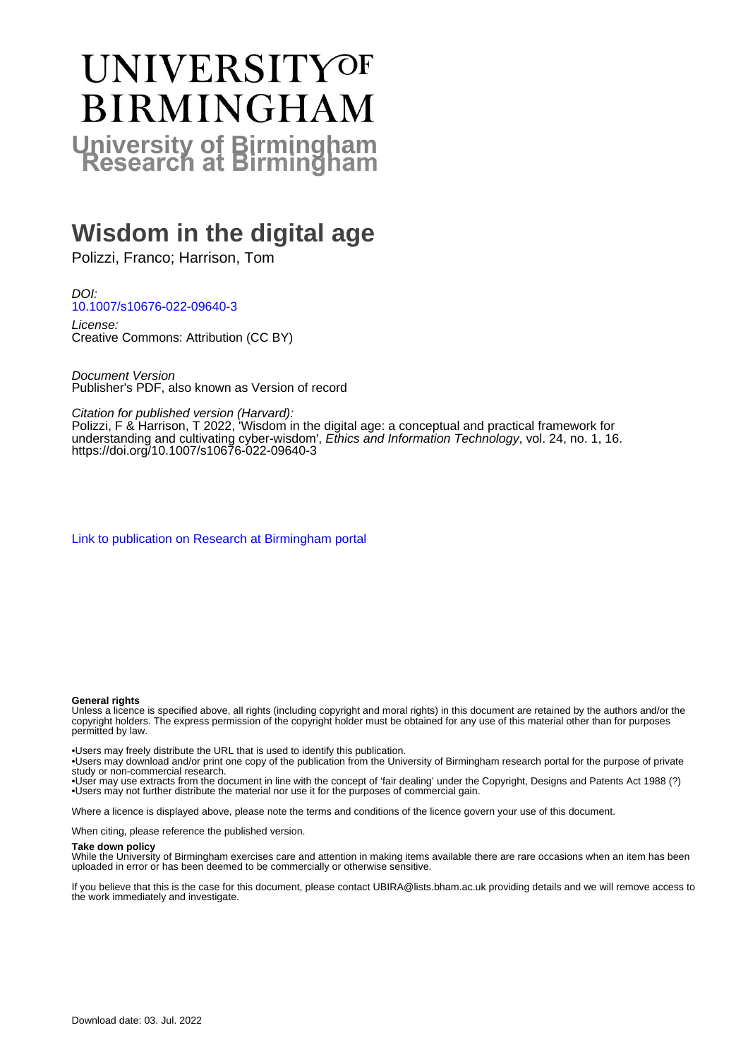# **UNIVERSITYOF BIRMINGHAM University of Birmingham**

# **Wisdom in the digital age**

Polizzi, Franco; Harrison, Tom

DOI: [10.1007/s10676-022-09640-3](https://doi.org/10.1007/s10676-022-09640-3)

License: Creative Commons: Attribution (CC BY)

Document Version Publisher's PDF, also known as Version of record

Citation for published version (Harvard):

Polizzi, F & Harrison, T 2022, 'Wisdom in the digital age: a conceptual and practical framework for understanding and cultivating cyber-wisdom', Ethics and Information Technology, vol. 24, no. 1, 16. <https://doi.org/10.1007/s10676-022-09640-3>

[Link to publication on Research at Birmingham portal](https://birmingham.elsevierpure.com/en/publications/28e03f14-fb03-422c-bcac-a481d5dc9118)

#### **General rights**

Unless a licence is specified above, all rights (including copyright and moral rights) in this document are retained by the authors and/or the copyright holders. The express permission of the copyright holder must be obtained for any use of this material other than for purposes permitted by law.

• Users may freely distribute the URL that is used to identify this publication.

• Users may download and/or print one copy of the publication from the University of Birmingham research portal for the purpose of private study or non-commercial research.

• User may use extracts from the document in line with the concept of 'fair dealing' under the Copyright, Designs and Patents Act 1988 (?) • Users may not further distribute the material nor use it for the purposes of commercial gain.

Where a licence is displayed above, please note the terms and conditions of the licence govern your use of this document.

When citing, please reference the published version.

#### **Take down policy**

While the University of Birmingham exercises care and attention in making items available there are rare occasions when an item has been uploaded in error or has been deemed to be commercially or otherwise sensitive.

If you believe that this is the case for this document, please contact UBIRA@lists.bham.ac.uk providing details and we will remove access to the work immediately and investigate.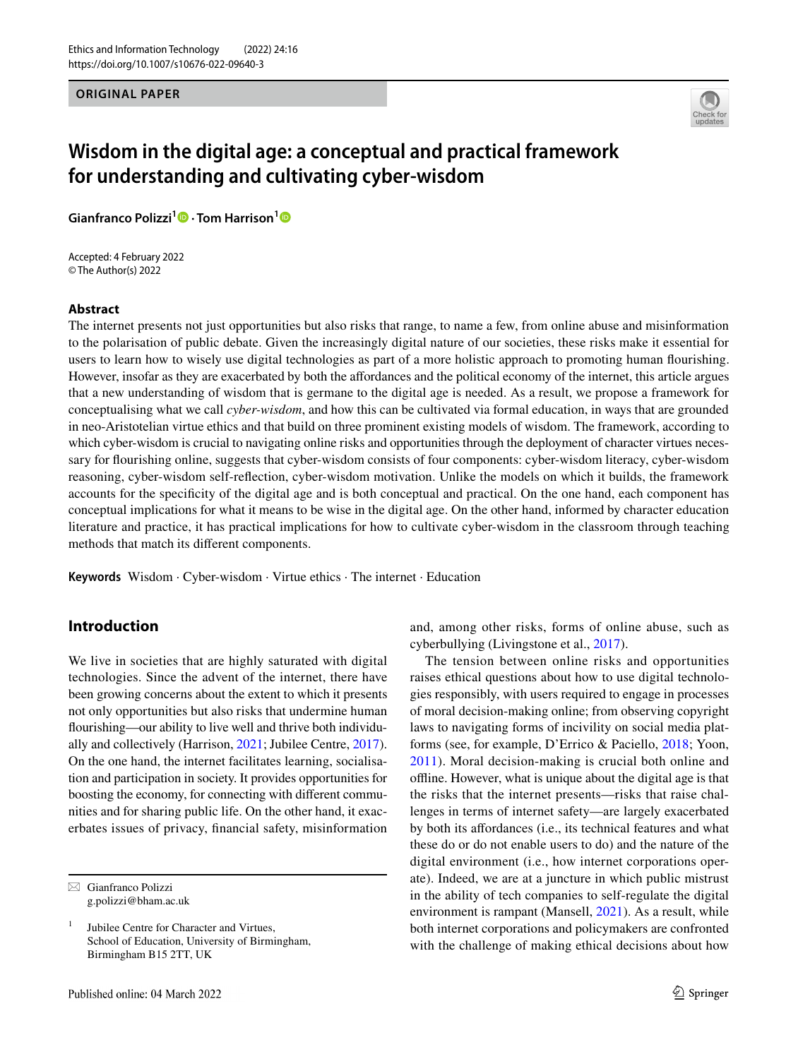**ORIGINAL PAPER**



# **Wisdom in the digital age: a conceptual and practical framework for understanding and cultivating cyber‑wisdom**

**Gianfranco Polizzi1  [·](http://orcid.org/0000-0002-3591-7121) Tom Harrison[1](http://orcid.org/0000-0002-2767-465X)**

Accepted: 4 February 2022 © The Author(s) 2022

#### **Abstract**

The internet presents not just opportunities but also risks that range, to name a few, from online abuse and misinformation to the polarisation of public debate. Given the increasingly digital nature of our societies, these risks make it essential for users to learn how to wisely use digital technologies as part of a more holistic approach to promoting human fourishing. However, insofar as they are exacerbated by both the afordances and the political economy of the internet, this article argues that a new understanding of wisdom that is germane to the digital age is needed. As a result, we propose a framework for conceptualising what we call *cyber-wisdom*, and how this can be cultivated via formal education, in ways that are grounded in neo-Aristotelian virtue ethics and that build on three prominent existing models of wisdom. The framework, according to which cyber-wisdom is crucial to navigating online risks and opportunities through the deployment of character virtues necessary for fourishing online, suggests that cyber-wisdom consists of four components: cyber-wisdom literacy, cyber-wisdom reasoning, cyber-wisdom self-refection, cyber-wisdom motivation. Unlike the models on which it builds, the framework accounts for the specifcity of the digital age and is both conceptual and practical. On the one hand, each component has conceptual implications for what it means to be wise in the digital age. On the other hand, informed by character education literature and practice, it has practical implications for how to cultivate cyber-wisdom in the classroom through teaching methods that match its diferent components.

**Keywords** Wisdom · Cyber-wisdom · Virtue ethics · The internet · Education

# **Introduction**

We live in societies that are highly saturated with digital technologies. Since the advent of the internet, there have been growing concerns about the extent to which it presents not only opportunities but also risks that undermine human fourishing—our ability to live well and thrive both individually and collectively (Harrison, [2021;](#page-15-0) Jubilee Centre, [2017](#page-15-1)). On the one hand, the internet facilitates learning, socialisation and participation in society. It provides opportunities for boosting the economy, for connecting with diferent communities and for sharing public life. On the other hand, it exacerbates issues of privacy, fnancial safety, misinformation

and, among other risks, forms of online abuse, such as cyberbullying (Livingstone et al., [2017](#page-15-2)).

The tension between online risks and opportunities raises ethical questions about how to use digital technologies responsibly, with users required to engage in processes of moral decision-making online; from observing copyright laws to navigating forms of incivility on social media platforms (see, for example, D'Errico & Paciello, [2018;](#page-14-0) Yoon, [2011\)](#page-16-0). Moral decision-making is crucial both online and ofine. However, what is unique about the digital age is that the risks that the internet presents—risks that raise challenges in terms of internet safety—are largely exacerbated by both its afordances (i.e., its technical features and what these do or do not enable users to do) and the nature of the digital environment (i.e., how internet corporations operate). Indeed, we are at a juncture in which public mistrust in the ability of tech companies to self-regulate the digital environment is rampant (Mansell, [2021](#page-15-3)). As a result, while both internet corporations and policymakers are confronted with the challenge of making ethical decisions about how

 $\boxtimes$  Gianfranco Polizzi g.polizzi@bham.ac.uk

<sup>1</sup> Jubilee Centre for Character and Virtues, School of Education, University of Birmingham, Birmingham B15 2TT, UK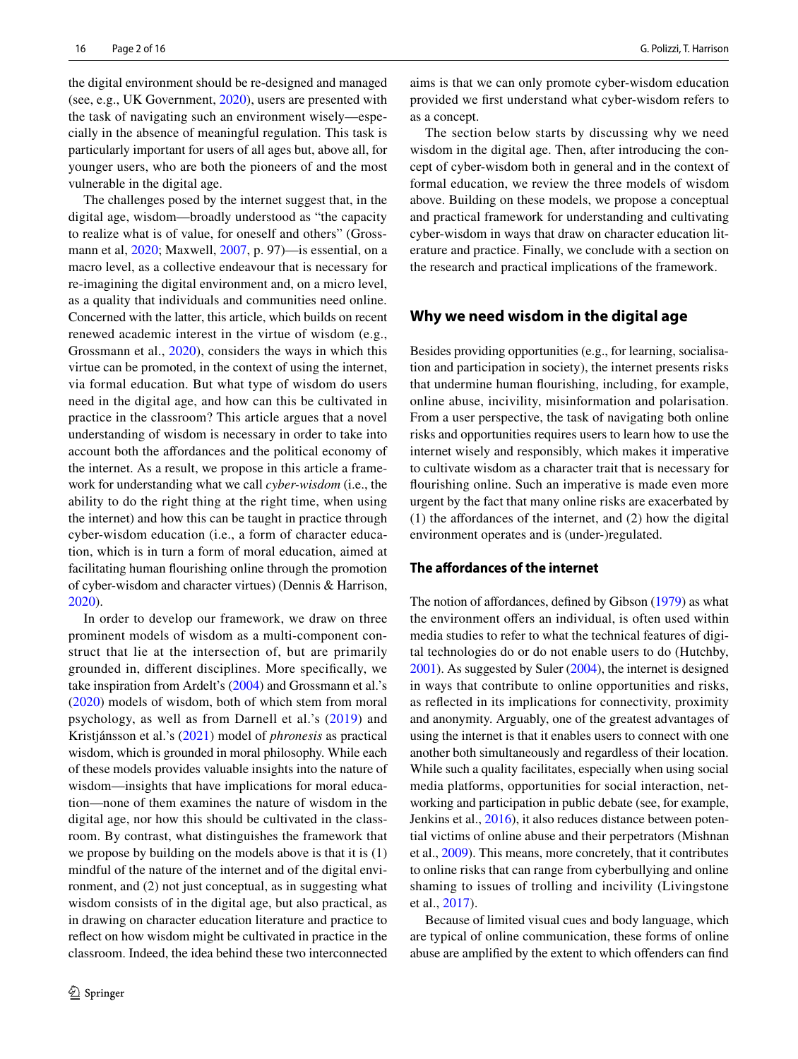the digital environment should be re-designed and managed (see, e.g., UK Government, [2020\)](#page-16-1), users are presented with the task of navigating such an environment wisely—especially in the absence of meaningful regulation. This task is particularly important for users of all ages but, above all, for younger users, who are both the pioneers of and the most vulnerable in the digital age.

The challenges posed by the internet suggest that, in the digital age, wisdom—broadly understood as "the capacity to realize what is of value, for oneself and others" (Grossmann et al, [2020](#page-15-4); Maxwell, [2007](#page-15-5), p. 97)—is essential, on a macro level, as a collective endeavour that is necessary for re-imagining the digital environment and, on a micro level, as a quality that individuals and communities need online. Concerned with the latter, this article, which builds on recent renewed academic interest in the virtue of wisdom (e.g., Grossmann et al., [2020\)](#page-15-4), considers the ways in which this virtue can be promoted, in the context of using the internet, via formal education. But what type of wisdom do users need in the digital age, and how can this be cultivated in practice in the classroom? This article argues that a novel understanding of wisdom is necessary in order to take into account both the affordances and the political economy of the internet. As a result, we propose in this article a framework for understanding what we call *cyber-wisdom* (i.e., the ability to do the right thing at the right time, when using the internet) and how this can be taught in practice through cyber-wisdom education (i.e., a form of character education, which is in turn a form of moral education, aimed at facilitating human fourishing online through the promotion of cyber-wisdom and character virtues) (Dennis & Harrison, [2020](#page-14-1)).

In order to develop our framework, we draw on three prominent models of wisdom as a multi-component construct that lie at the intersection of, but are primarily grounded in, diferent disciplines. More specifcally, we take inspiration from Ardelt's ([2004\)](#page-14-2) and Grossmann et al.'s [\(2020\)](#page-15-4) models of wisdom, both of which stem from moral psychology, as well as from Darnell et al.'s ([2019](#page-14-3)) and Kristjánsson et al.'s [\(2021\)](#page-15-6) model of *phronesis* as practical wisdom, which is grounded in moral philosophy. While each of these models provides valuable insights into the nature of wisdom—insights that have implications for moral education—none of them examines the nature of wisdom in the digital age, nor how this should be cultivated in the classroom. By contrast, what distinguishes the framework that we propose by building on the models above is that it is (1) mindful of the nature of the internet and of the digital environment, and (2) not just conceptual, as in suggesting what wisdom consists of in the digital age, but also practical, as in drawing on character education literature and practice to refect on how wisdom might be cultivated in practice in the classroom. Indeed, the idea behind these two interconnected aims is that we can only promote cyber-wisdom education provided we frst understand what cyber-wisdom refers to as a concept.

The section below starts by discussing why we need wisdom in the digital age. Then, after introducing the concept of cyber-wisdom both in general and in the context of formal education, we review the three models of wisdom above. Building on these models, we propose a conceptual and practical framework for understanding and cultivating cyber-wisdom in ways that draw on character education literature and practice. Finally, we conclude with a section on the research and practical implications of the framework.

#### **Why we need wisdom in the digital age**

Besides providing opportunities (e.g., for learning, socialisation and participation in society), the internet presents risks that undermine human fourishing, including, for example, online abuse, incivility, misinformation and polarisation. From a user perspective, the task of navigating both online risks and opportunities requires users to learn how to use the internet wisely and responsibly, which makes it imperative to cultivate wisdom as a character trait that is necessary for fourishing online. Such an imperative is made even more urgent by the fact that many online risks are exacerbated by  $(1)$  the affordances of the internet, and  $(2)$  how the digital environment operates and is (under-)regulated.

#### **The afordances of the internet**

The notion of affordances, defined by Gibson [\(1979\)](#page-14-4) as what the environment offers an individual, is often used within media studies to refer to what the technical features of digital technologies do or do not enable users to do (Hutchby, [2001\)](#page-15-7). As suggested by Suler [\(2004\)](#page-16-2), the internet is designed in ways that contribute to online opportunities and risks, as refected in its implications for connectivity, proximity and anonymity. Arguably, one of the greatest advantages of using the internet is that it enables users to connect with one another both simultaneously and regardless of their location. While such a quality facilitates, especially when using social media platforms, opportunities for social interaction, networking and participation in public debate (see, for example, Jenkins et al., [2016\)](#page-15-8), it also reduces distance between potential victims of online abuse and their perpetrators (Mishnan et al., [2009\)](#page-15-9). This means, more concretely, that it contributes to online risks that can range from cyberbullying and online shaming to issues of trolling and incivility (Livingstone et al., [2017\)](#page-15-2).

Because of limited visual cues and body language, which are typical of online communication, these forms of online abuse are amplifed by the extent to which ofenders can fnd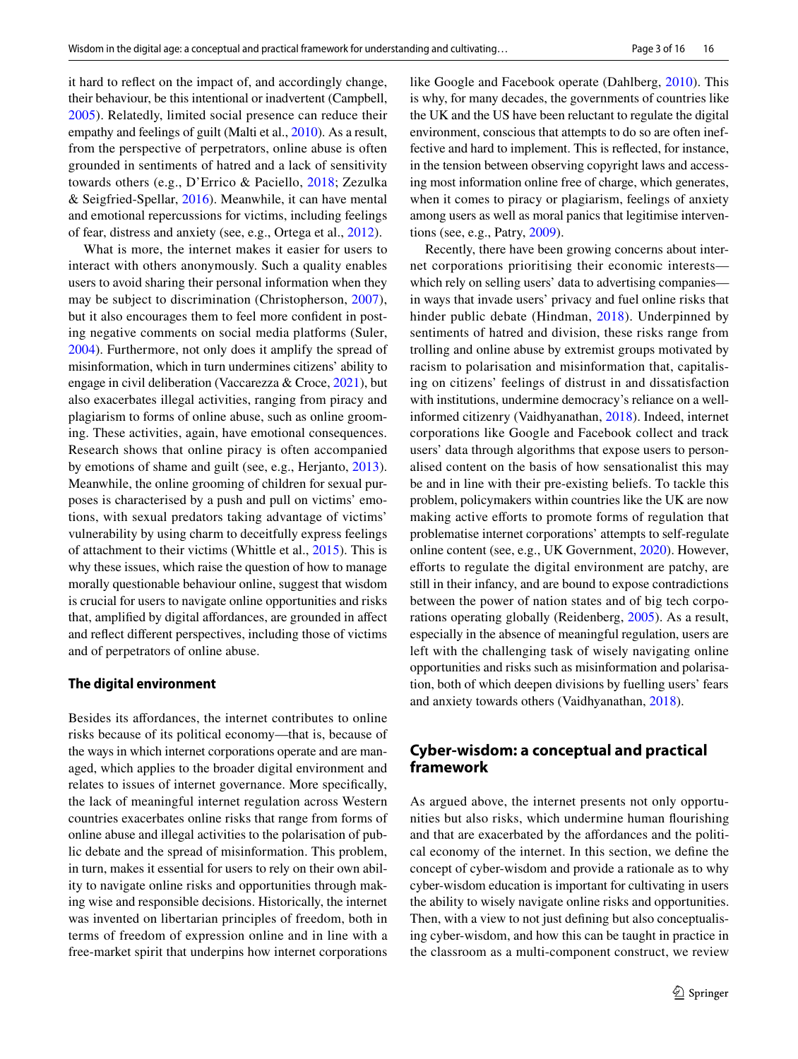it hard to refect on the impact of, and accordingly change, their behaviour, be this intentional or inadvertent (Campbell, [2005\)](#page-14-5). Relatedly, limited social presence can reduce their empathy and feelings of guilt (Malti et al., [2010](#page-15-10)). As a result, from the perspective of perpetrators, online abuse is often grounded in sentiments of hatred and a lack of sensitivity towards others (e.g., D'Errico & Paciello, [2018;](#page-14-0) Zezulka & Seigfried-Spellar, [2016](#page-16-3)). Meanwhile, it can have mental and emotional repercussions for victims, including feelings of fear, distress and anxiety (see, e.g., Ortega et al., [2012\)](#page-15-11).

What is more, the internet makes it easier for users to interact with others anonymously. Such a quality enables users to avoid sharing their personal information when they may be subject to discrimination (Christopherson, [2007](#page-14-6)), but it also encourages them to feel more confdent in posting negative comments on social media platforms (Suler, [2004](#page-16-2)). Furthermore, not only does it amplify the spread of misinformation, which in turn undermines citizens' ability to engage in civil deliberation (Vaccarezza & Croce, [2021](#page-16-4)), but also exacerbates illegal activities, ranging from piracy and plagiarism to forms of online abuse, such as online grooming. These activities, again, have emotional consequences. Research shows that online piracy is often accompanied by emotions of shame and guilt (see, e.g., Herjanto, [2013](#page-15-12)). Meanwhile, the online grooming of children for sexual purposes is characterised by a push and pull on victims' emotions, with sexual predators taking advantage of victims' vulnerability by using charm to deceitfully express feelings of attachment to their victims (Whittle et al., [2015\)](#page-16-5). This is why these issues, which raise the question of how to manage morally questionable behaviour online, suggest that wisdom is crucial for users to navigate online opportunities and risks that, amplifed by digital afordances, are grounded in afect and refect diferent perspectives, including those of victims and of perpetrators of online abuse.

#### **The digital environment**

Besides its afordances, the internet contributes to online risks because of its political economy—that is, because of the ways in which internet corporations operate and are managed, which applies to the broader digital environment and relates to issues of internet governance. More specifcally, the lack of meaningful internet regulation across Western countries exacerbates online risks that range from forms of online abuse and illegal activities to the polarisation of public debate and the spread of misinformation. This problem, in turn, makes it essential for users to rely on their own ability to navigate online risks and opportunities through making wise and responsible decisions. Historically, the internet was invented on libertarian principles of freedom, both in terms of freedom of expression online and in line with a free-market spirit that underpins how internet corporations like Google and Facebook operate (Dahlberg, [2010](#page-14-7)). This is why, for many decades, the governments of countries like the UK and the US have been reluctant to regulate the digital environment, conscious that attempts to do so are often ineffective and hard to implement. This is refected, for instance, in the tension between observing copyright laws and accessing most information online free of charge, which generates, when it comes to piracy or plagiarism, feelings of anxiety among users as well as moral panics that legitimise interventions (see, e.g., Patry, [2009](#page-15-13)).

Recently, there have been growing concerns about internet corporations prioritising their economic interests which rely on selling users' data to advertising companies in ways that invade users' privacy and fuel online risks that hinder public debate (Hindman, [2018](#page-15-14)). Underpinned by sentiments of hatred and division, these risks range from trolling and online abuse by extremist groups motivated by racism to polarisation and misinformation that, capitalising on citizens' feelings of distrust in and dissatisfaction with institutions, undermine democracy's reliance on a wellinformed citizenry (Vaidhyanathan, [2018](#page-16-6)). Indeed, internet corporations like Google and Facebook collect and track users' data through algorithms that expose users to personalised content on the basis of how sensationalist this may be and in line with their pre-existing beliefs. To tackle this problem, policymakers within countries like the UK are now making active efforts to promote forms of regulation that problematise internet corporations' attempts to self-regulate online content (see, e.g., UK Government, [2020\)](#page-16-1). However, eforts to regulate the digital environment are patchy, are still in their infancy, and are bound to expose contradictions between the power of nation states and of big tech corporations operating globally (Reidenberg, [2005\)](#page-16-7). As a result, especially in the absence of meaningful regulation, users are left with the challenging task of wisely navigating online opportunities and risks such as misinformation and polarisation, both of which deepen divisions by fuelling users' fears and anxiety towards others (Vaidhyanathan, [2018](#page-16-6)).

# **Cyber‑wisdom: a conceptual and practical framework**

As argued above, the internet presents not only opportunities but also risks, which undermine human fourishing and that are exacerbated by the afordances and the political economy of the internet. In this section, we defne the concept of cyber-wisdom and provide a rationale as to why cyber-wisdom education is important for cultivating in users the ability to wisely navigate online risks and opportunities. Then, with a view to not just defning but also conceptualising cyber-wisdom, and how this can be taught in practice in the classroom as a multi-component construct, we review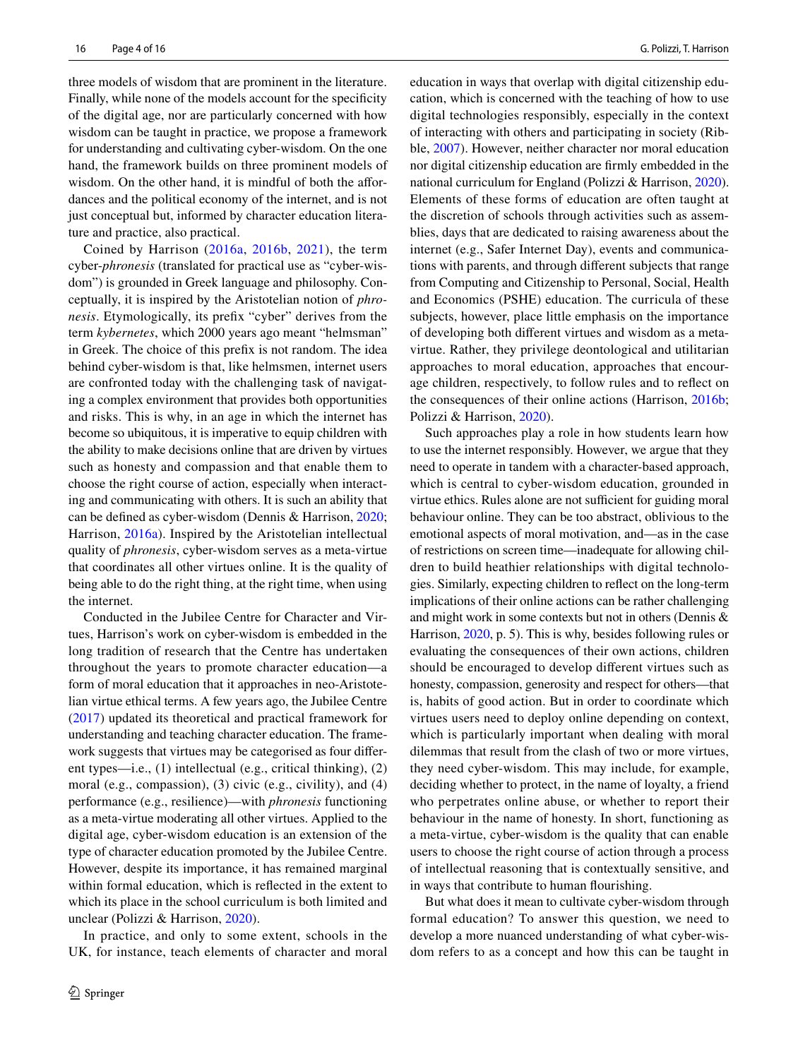three models of wisdom that are prominent in the literature. Finally, while none of the models account for the specifcity of the digital age, nor are particularly concerned with how wisdom can be taught in practice, we propose a framework for understanding and cultivating cyber-wisdom. On the one hand, the framework builds on three prominent models of wisdom. On the other hand, it is mindful of both the affordances and the political economy of the internet, and is not just conceptual but, informed by character education literature and practice, also practical.

Coined by Harrison ([2016a,](#page-15-15) [2016b,](#page-15-16) [2021\)](#page-15-0), the term cyber-*phronesis* (translated for practical use as "cyber-wisdom") is grounded in Greek language and philosophy. Conceptually, it is inspired by the Aristotelian notion of *phronesis*. Etymologically, its prefx "cyber" derives from the term *kybernetes*, which 2000 years ago meant "helmsman" in Greek. The choice of this prefx is not random. The idea behind cyber-wisdom is that, like helmsmen, internet users are confronted today with the challenging task of navigating a complex environment that provides both opportunities and risks. This is why, in an age in which the internet has become so ubiquitous, it is imperative to equip children with the ability to make decisions online that are driven by virtues such as honesty and compassion and that enable them to choose the right course of action, especially when interacting and communicating with others. It is such an ability that can be defned as cyber-wisdom (Dennis & Harrison, [2020](#page-14-1); Harrison, [2016a\)](#page-15-15). Inspired by the Aristotelian intellectual quality of *phronesis*, cyber-wisdom serves as a meta-virtue that coordinates all other virtues online. It is the quality of being able to do the right thing, at the right time, when using the internet.

Conducted in the Jubilee Centre for Character and Virtues, Harrison's work on cyber-wisdom is embedded in the long tradition of research that the Centre has undertaken throughout the years to promote character education—a form of moral education that it approaches in neo-Aristotelian virtue ethical terms. A few years ago, the Jubilee Centre [\(2017\)](#page-15-1) updated its theoretical and practical framework for understanding and teaching character education. The framework suggests that virtues may be categorised as four diferent types—i.e., (1) intellectual (e.g., critical thinking), (2) moral (e.g., compassion), (3) civic (e.g., civility), and (4) performance (e.g., resilience)—with *phronesis* functioning as a meta-virtue moderating all other virtues. Applied to the digital age, cyber-wisdom education is an extension of the type of character education promoted by the Jubilee Centre. However, despite its importance, it has remained marginal within formal education, which is refected in the extent to which its place in the school curriculum is both limited and unclear (Polizzi & Harrison, [2020](#page-16-8)).

In practice, and only to some extent, schools in the UK, for instance, teach elements of character and moral education in ways that overlap with digital citizenship education, which is concerned with the teaching of how to use digital technologies responsibly, especially in the context of interacting with others and participating in society (Ribble, [2007\)](#page-16-9). However, neither character nor moral education nor digital citizenship education are frmly embedded in the national curriculum for England (Polizzi & Harrison, [2020](#page-16-8)). Elements of these forms of education are often taught at the discretion of schools through activities such as assemblies, days that are dedicated to raising awareness about the internet (e.g., Safer Internet Day), events and communications with parents, and through diferent subjects that range from Computing and Citizenship to Personal, Social, Health and Economics (PSHE) education. The curricula of these subjects, however, place little emphasis on the importance of developing both diferent virtues and wisdom as a metavirtue. Rather, they privilege deontological and utilitarian approaches to moral education, approaches that encourage children, respectively, to follow rules and to refect on the consequences of their online actions (Harrison, [2016b](#page-15-16); Polizzi & Harrison, [2020\)](#page-16-8).

Such approaches play a role in how students learn how to use the internet responsibly. However, we argue that they need to operate in tandem with a character-based approach, which is central to cyber-wisdom education, grounded in virtue ethics. Rules alone are not sufficient for guiding moral behaviour online. They can be too abstract, oblivious to the emotional aspects of moral motivation, and—as in the case of restrictions on screen time—inadequate for allowing children to build heathier relationships with digital technologies. Similarly, expecting children to refect on the long-term implications of their online actions can be rather challenging and might work in some contexts but not in others (Dennis & Harrison, [2020,](#page-14-1) p. 5). This is why, besides following rules or evaluating the consequences of their own actions, children should be encouraged to develop diferent virtues such as honesty, compassion, generosity and respect for others—that is, habits of good action. But in order to coordinate which virtues users need to deploy online depending on context, which is particularly important when dealing with moral dilemmas that result from the clash of two or more virtues, they need cyber-wisdom. This may include, for example, deciding whether to protect, in the name of loyalty, a friend who perpetrates online abuse, or whether to report their behaviour in the name of honesty. In short, functioning as a meta-virtue, cyber-wisdom is the quality that can enable users to choose the right course of action through a process of intellectual reasoning that is contextually sensitive, and in ways that contribute to human fourishing.

But what does it mean to cultivate cyber-wisdom through formal education? To answer this question, we need to develop a more nuanced understanding of what cyber-wisdom refers to as a concept and how this can be taught in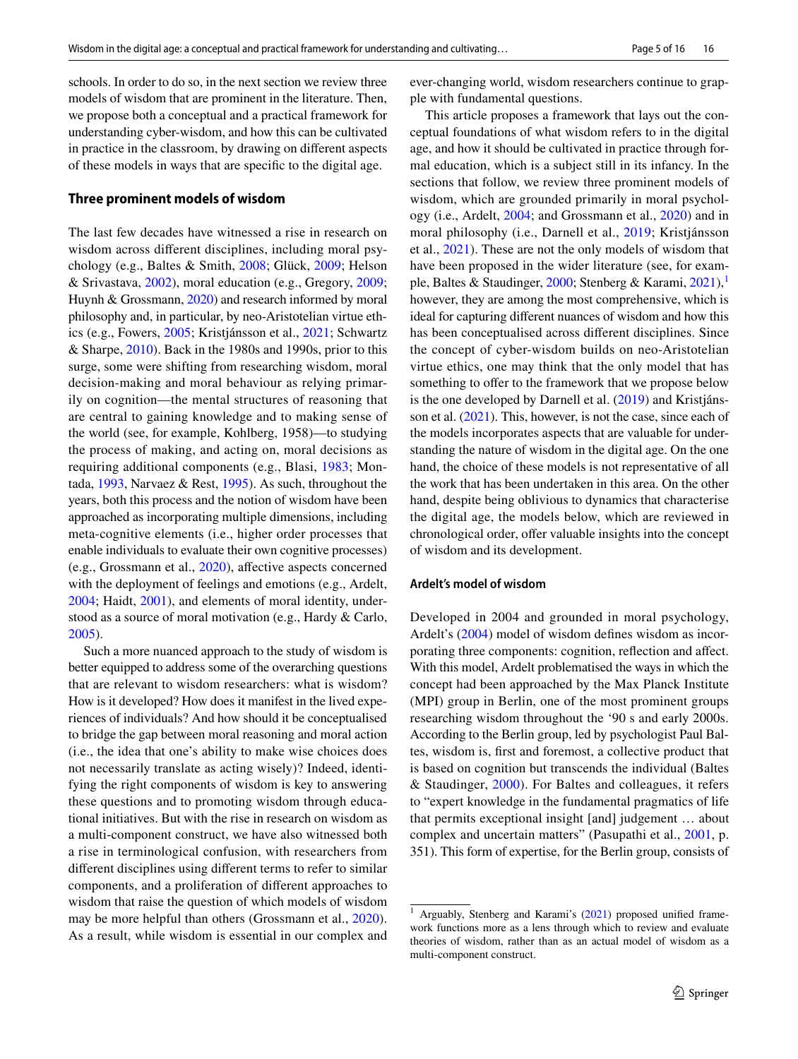schools. In order to do so, in the next section we review three models of wisdom that are prominent in the literature. Then, we propose both a conceptual and a practical framework for understanding cyber-wisdom, and how this can be cultivated in practice in the classroom, by drawing on diferent aspects of these models in ways that are specifc to the digital age.

#### **Three prominent models of wisdom**

The last few decades have witnessed a rise in research on wisdom across diferent disciplines, including moral psychology (e.g., Baltes & Smith, [2008;](#page-14-8) Glück, [2009;](#page-15-17) Helson & Srivastava, [2002](#page-15-18)), moral education (e.g., Gregory, [2009](#page-15-19); Huynh & Grossmann, [2020](#page-15-20)) and research informed by moral philosophy and, in particular, by neo-Aristotelian virtue ethics (e.g., Fowers, [2005;](#page-14-9) Kristjánsson et al., [2021](#page-15-6); Schwartz & Sharpe, [2010](#page-16-10)). Back in the 1980s and 1990s, prior to this surge, some were shifting from researching wisdom, moral decision-making and moral behaviour as relying primarily on cognition—the mental structures of reasoning that are central to gaining knowledge and to making sense of the world (see, for example, Kohlberg, 1958)—to studying the process of making, and acting on, moral decisions as requiring additional components (e.g., Blasi, [1983;](#page-14-10) Montada, [1993,](#page-15-21) Narvaez & Rest, [1995\)](#page-15-22). As such, throughout the years, both this process and the notion of wisdom have been approached as incorporating multiple dimensions, including meta-cognitive elements (i.e., higher order processes that enable individuals to evaluate their own cognitive processes) (e.g., Grossmann et al., [2020\)](#page-15-4), afective aspects concerned with the deployment of feelings and emotions (e.g., Ardelt, [2004](#page-14-2); Haidt, [2001\)](#page-15-23), and elements of moral identity, understood as a source of moral motivation (e.g., Hardy & Carlo, [2005](#page-15-24)).

Such a more nuanced approach to the study of wisdom is better equipped to address some of the overarching questions that are relevant to wisdom researchers: what is wisdom? How is it developed? How does it manifest in the lived experiences of individuals? And how should it be conceptualised to bridge the gap between moral reasoning and moral action (i.e., the idea that one's ability to make wise choices does not necessarily translate as acting wisely)? Indeed, identifying the right components of wisdom is key to answering these questions and to promoting wisdom through educational initiatives. But with the rise in research on wisdom as a multi-component construct, we have also witnessed both a rise in terminological confusion, with researchers from diferent disciplines using diferent terms to refer to similar components, and a proliferation of diferent approaches to wisdom that raise the question of which models of wisdom may be more helpful than others (Grossmann et al., [2020](#page-15-4)). As a result, while wisdom is essential in our complex and ever-changing world, wisdom researchers continue to grapple with fundamental questions.

This article proposes a framework that lays out the conceptual foundations of what wisdom refers to in the digital age, and how it should be cultivated in practice through formal education, which is a subject still in its infancy. In the sections that follow, we review three prominent models of wisdom, which are grounded primarily in moral psychology (i.e., Ardelt, [2004](#page-14-2); and Grossmann et al., [2020](#page-15-4)) and in moral philosophy (i.e., Darnell et al., [2019](#page-14-3); Kristjánsson et al., [2021](#page-15-6)). These are not the only models of wisdom that have been proposed in the wider literature (see, for exam-ple, Baltes & Staudinger, [2000;](#page-14-11) Stenberg & Karami,  $2021$  $2021$ ), however, they are among the most comprehensive, which is ideal for capturing diferent nuances of wisdom and how this has been conceptualised across diferent disciplines. Since the concept of cyber-wisdom builds on neo-Aristotelian virtue ethics, one may think that the only model that has something to offer to the framework that we propose below is the one developed by Darnell et al. [\(2019](#page-14-3)) and Kristjánsson et al. [\(2021](#page-15-6)). This, however, is not the case, since each of the models incorporates aspects that are valuable for understanding the nature of wisdom in the digital age. On the one hand, the choice of these models is not representative of all the work that has been undertaken in this area. On the other hand, despite being oblivious to dynamics that characterise the digital age, the models below, which are reviewed in chronological order, offer valuable insights into the concept of wisdom and its development.

#### **Ardelt's model of wisdom**

Developed in 2004 and grounded in moral psychology, Ardelt's [\(2004\)](#page-14-2) model of wisdom defnes wisdom as incorporating three components: cognition, refection and afect. With this model, Ardelt problematised the ways in which the concept had been approached by the Max Planck Institute (MPI) group in Berlin, one of the most prominent groups researching wisdom throughout the '90 s and early 2000s. According to the Berlin group, led by psychologist Paul Baltes, wisdom is, frst and foremost, a collective product that is based on cognition but transcends the individual (Baltes & Staudinger, [2000](#page-14-11)). For Baltes and colleagues, it refers to "expert knowledge in the fundamental pragmatics of life that permits exceptional insight [and] judgement … about complex and uncertain matters" (Pasupathi et al., [2001](#page-15-25), p. 351). This form of expertise, for the Berlin group, consists of

<span id="page-5-0"></span><sup>&</sup>lt;sup>1</sup> Arguably, Stenberg and Karami's ([2021\)](#page-16-11) proposed unified framework functions more as a lens through which to review and evaluate theories of wisdom, rather than as an actual model of wisdom as a multi-component construct.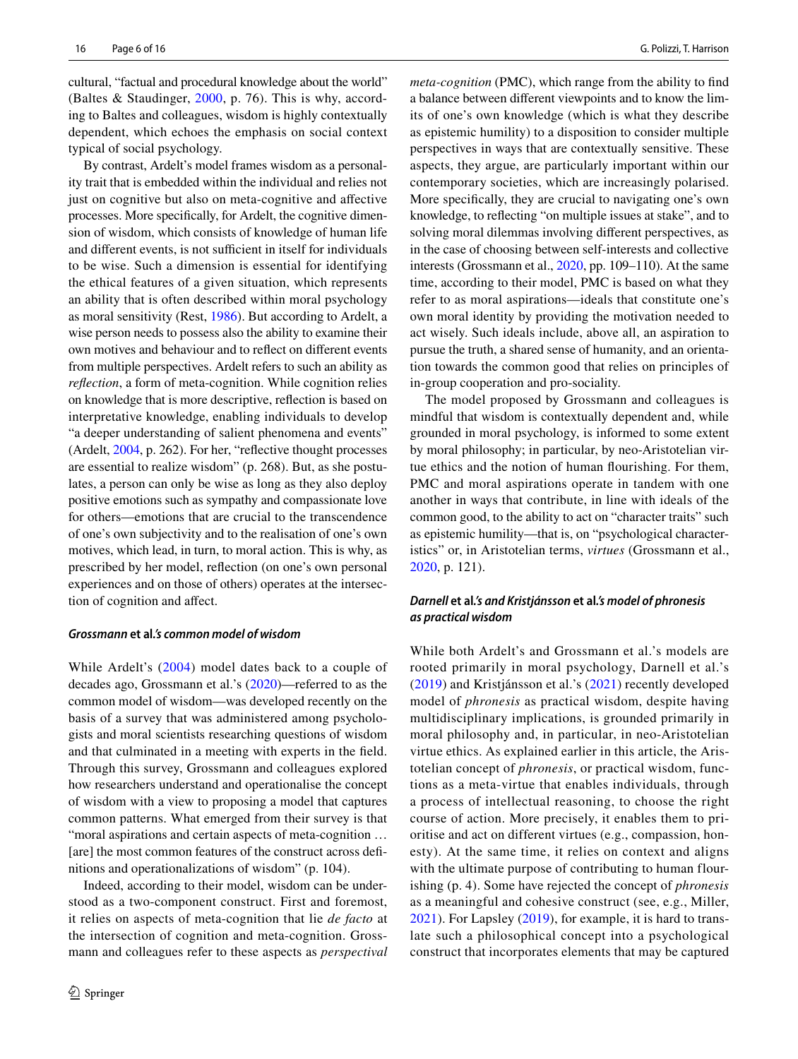cultural, "factual and procedural knowledge about the world" (Baltes & Staudinger, [2000](#page-14-11), p. 76). This is why, according to Baltes and colleagues, wisdom is highly contextually dependent, which echoes the emphasis on social context typical of social psychology.

By contrast, Ardelt's model frames wisdom as a personality trait that is embedded within the individual and relies not just on cognitive but also on meta-cognitive and afective processes. More specifcally, for Ardelt, the cognitive dimension of wisdom, which consists of knowledge of human life and different events, is not sufficient in itself for individuals to be wise. Such a dimension is essential for identifying the ethical features of a given situation, which represents an ability that is often described within moral psychology as moral sensitivity (Rest, [1986](#page-16-12)). But according to Ardelt, a wise person needs to possess also the ability to examine their own motives and behaviour and to refect on diferent events from multiple perspectives. Ardelt refers to such an ability as *refection*, a form of meta-cognition. While cognition relies on knowledge that is more descriptive, refection is based on interpretative knowledge, enabling individuals to develop "a deeper understanding of salient phenomena and events" (Ardelt, [2004](#page-14-2), p. 262). For her, "refective thought processes are essential to realize wisdom" (p. 268). But, as she postulates, a person can only be wise as long as they also deploy positive emotions such as sympathy and compassionate love for others—emotions that are crucial to the transcendence of one's own subjectivity and to the realisation of one's own motives, which lead, in turn, to moral action. This is why, as prescribed by her model, refection (on one's own personal experiences and on those of others) operates at the intersection of cognition and afect.

#### *Grossmann* **et al***.'s common model of wisdom*

While Ardelt's ([2004\)](#page-14-2) model dates back to a couple of decades ago, Grossmann et al.'s ([2020\)](#page-15-4)—referred to as the common model of wisdom—was developed recently on the basis of a survey that was administered among psychologists and moral scientists researching questions of wisdom and that culminated in a meeting with experts in the feld. Through this survey, Grossmann and colleagues explored how researchers understand and operationalise the concept of wisdom with a view to proposing a model that captures common patterns. What emerged from their survey is that "moral aspirations and certain aspects of meta-cognition … [are] the most common features of the construct across defnitions and operationalizations of wisdom" (p. 104).

Indeed, according to their model, wisdom can be understood as a two-component construct. First and foremost, it relies on aspects of meta-cognition that lie *de facto* at the intersection of cognition and meta-cognition. Grossmann and colleagues refer to these aspects as *perspectival*  *meta-cognition* (PMC), which range from the ability to fnd a balance between diferent viewpoints and to know the limits of one's own knowledge (which is what they describe as epistemic humility) to a disposition to consider multiple perspectives in ways that are contextually sensitive. These aspects, they argue, are particularly important within our contemporary societies, which are increasingly polarised. More specifcally, they are crucial to navigating one's own knowledge, to refecting "on multiple issues at stake", and to solving moral dilemmas involving diferent perspectives, as in the case of choosing between self-interests and collective interests (Grossmann et al., [2020](#page-15-4), pp. 109–110). At the same time, according to their model, PMC is based on what they refer to as moral aspirations—ideals that constitute one's own moral identity by providing the motivation needed to act wisely. Such ideals include, above all, an aspiration to pursue the truth, a shared sense of humanity, and an orientation towards the common good that relies on principles of in-group cooperation and pro-sociality.

The model proposed by Grossmann and colleagues is mindful that wisdom is contextually dependent and, while grounded in moral psychology, is informed to some extent by moral philosophy; in particular, by neo-Aristotelian virtue ethics and the notion of human fourishing. For them, PMC and moral aspirations operate in tandem with one another in ways that contribute, in line with ideals of the common good, to the ability to act on "character traits" such as epistemic humility—that is, on "psychological characteristics" or, in Aristotelian terms, *virtues* (Grossmann et al., [2020](#page-15-4), p. 121).

#### *Darnell* **et al***.'s and Kristjánsson* **et al***.'s model of phronesis as practical wisdom*

While both Ardelt's and Grossmann et al.'s models are rooted primarily in moral psychology, Darnell et al.'s ([2019](#page-14-3)) and Kristjánsson et al.'s [\(2021\)](#page-15-6) recently developed model of *phronesis* as practical wisdom, despite having multidisciplinary implications, is grounded primarily in moral philosophy and, in particular, in neo-Aristotelian virtue ethics. As explained earlier in this article, the Aristotelian concept of *phronesis*, or practical wisdom, functions as a meta-virtue that enables individuals, through a process of intellectual reasoning, to choose the right course of action. More precisely, it enables them to prioritise and act on different virtues (e.g., compassion, honesty). At the same time, it relies on context and aligns with the ultimate purpose of contributing to human flourishing (p. 4). Some have rejected the concept of *phronesis* as a meaningful and cohesive construct (see, e.g., Miller, [2021\)](#page-15-26). For Lapsley ([2019](#page-15-27)), for example, it is hard to translate such a philosophical concept into a psychological construct that incorporates elements that may be captured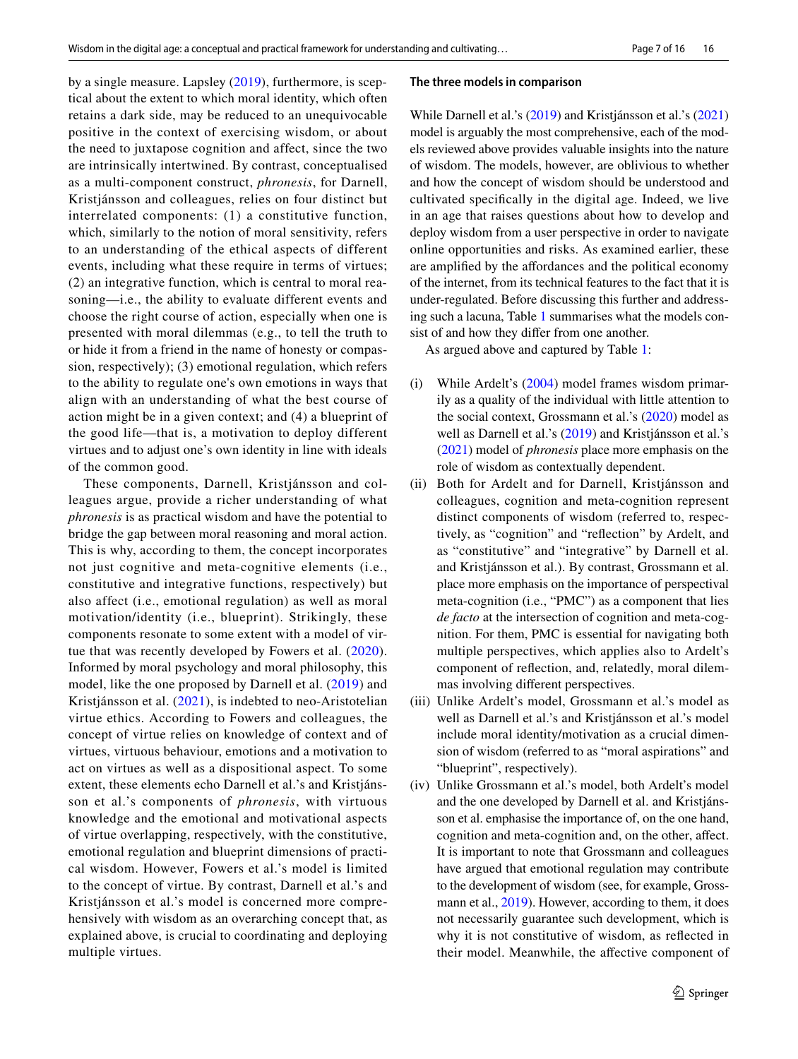by a single measure. Lapsley ([2019](#page-15-27)), furthermore, is sceptical about the extent to which moral identity, which often retains a dark side, may be reduced to an unequivocable positive in the context of exercising wisdom, or about the need to juxtapose cognition and affect, since the two are intrinsically intertwined. By contrast, conceptualised as a multi-component construct, *phronesis*, for Darnell, Kristjánsson and colleagues, relies on four distinct but interrelated components: (1) a constitutive function, which, similarly to the notion of moral sensitivity, refers to an understanding of the ethical aspects of different events, including what these require in terms of virtues; (2) an integrative function, which is central to moral reasoning—i.e., the ability to evaluate different events and choose the right course of action, especially when one is presented with moral dilemmas (e.g., to tell the truth to or hide it from a friend in the name of honesty or compassion, respectively); (3) emotional regulation, which refers to the ability to regulate one's own emotions in ways that align with an understanding of what the best course of action might be in a given context; and (4) a blueprint of the good life—that is, a motivation to deploy different virtues and to adjust one's own identity in line with ideals of the common good.

These components, Darnell, Kristjánsson and colleagues argue, provide a richer understanding of what *phronesis* is as practical wisdom and have the potential to bridge the gap between moral reasoning and moral action. This is why, according to them, the concept incorporates not just cognitive and meta-cognitive elements (i.e., constitutive and integrative functions, respectively) but also affect (i.e., emotional regulation) as well as moral motivation/identity (i.e., blueprint). Strikingly, these components resonate to some extent with a model of virtue that was recently developed by Fowers et al. ([2020](#page-14-12)). Informed by moral psychology and moral philosophy, this model, like the one proposed by Darnell et al. [\(2019](#page-14-3)) and Kristjánsson et al. ([2021\)](#page-15-6), is indebted to neo-Aristotelian virtue ethics. According to Fowers and colleagues, the concept of virtue relies on knowledge of context and of virtues, virtuous behaviour, emotions and a motivation to act on virtues as well as a dispositional aspect. To some extent, these elements echo Darnell et al.'s and Kristjánsson et al.'s components of *phronesis*, with virtuous knowledge and the emotional and motivational aspects of virtue overlapping, respectively, with the constitutive, emotional regulation and blueprint dimensions of practical wisdom. However, Fowers et al.'s model is limited to the concept of virtue. By contrast, Darnell et al.'s and Kristjánsson et al.'s model is concerned more comprehensively with wisdom as an overarching concept that, as explained above, is crucial to coordinating and deploying multiple virtues.

#### **The three models in comparison**

While Darnell et al.'s ([2019\)](#page-14-3) and Kristjánsson et al.'s ([2021\)](#page-15-6) model is arguably the most comprehensive, each of the models reviewed above provides valuable insights into the nature of wisdom. The models, however, are oblivious to whether and how the concept of wisdom should be understood and cultivated specifcally in the digital age. Indeed, we live in an age that raises questions about how to develop and deploy wisdom from a user perspective in order to navigate online opportunities and risks. As examined earlier, these are amplifed by the afordances and the political economy of the internet, from its technical features to the fact that it is under-regulated. Before discussing this further and addressing such a lacuna, Table [1](#page-8-0) summarises what the models consist of and how they difer from one another.

As argued above and captured by Table [1:](#page-8-0)

- (i) While Ardelt's [\(2004\)](#page-14-2) model frames wisdom primarily as a quality of the individual with little attention to the social context, Grossmann et al.'s [\(2020](#page-15-4)) model as well as Darnell et al.'s ([2019](#page-14-3)) and Kristjánsson et al.'s ([2021\)](#page-15-6) model of *phronesis* place more emphasis on the role of wisdom as contextually dependent.
- (ii) Both for Ardelt and for Darnell, Kristjánsson and colleagues, cognition and meta-cognition represent distinct components of wisdom (referred to, respectively, as "cognition" and "refection" by Ardelt, and as "constitutive" and "integrative" by Darnell et al. and Kristjánsson et al.). By contrast, Grossmann et al. place more emphasis on the importance of perspectival meta-cognition (i.e., "PMC") as a component that lies *de facto* at the intersection of cognition and meta-cognition. For them, PMC is essential for navigating both multiple perspectives, which applies also to Ardelt's component of refection, and, relatedly, moral dilemmas involving diferent perspectives.
- (iii) Unlike Ardelt's model, Grossmann et al.'s model as well as Darnell et al.'s and Kristjánsson et al.'s model include moral identity/motivation as a crucial dimension of wisdom (referred to as "moral aspirations" and "blueprint", respectively).
- (iv) Unlike Grossmann et al.'s model, both Ardelt's model and the one developed by Darnell et al. and Kristjánsson et al. emphasise the importance of, on the one hand, cognition and meta-cognition and, on the other, afect. It is important to note that Grossmann and colleagues have argued that emotional regulation may contribute to the development of wisdom (see, for example, Gross-mann et al., [2019](#page-15-28)). However, according to them, it does not necessarily guarantee such development, which is why it is not constitutive of wisdom, as refected in their model. Meanwhile, the afective component of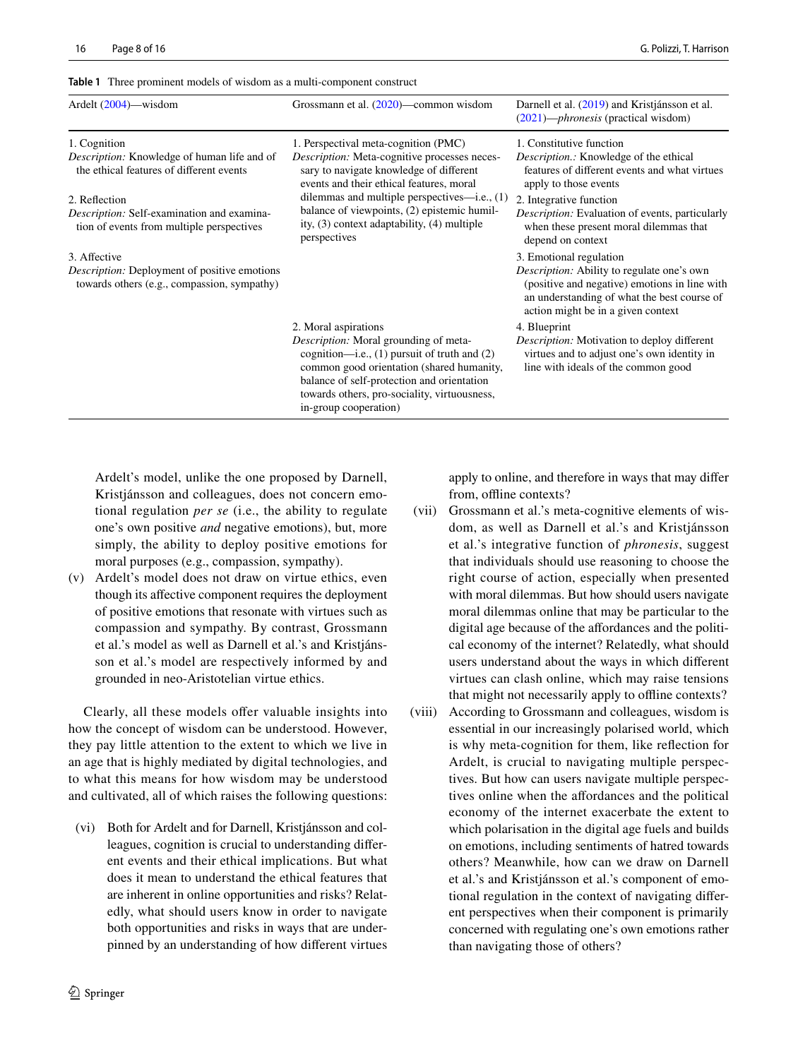| Ardelt $(2004)$ —wisdom                                                                                         | Grossmann et al. $(2020)$ —common wisdom                                                                                                                         | Darnell et al. (2019) and Kristjánsson et al.<br>$(2021)$ — <i>phronesis</i> (practical wisdom)                                           |
|-----------------------------------------------------------------------------------------------------------------|------------------------------------------------------------------------------------------------------------------------------------------------------------------|-------------------------------------------------------------------------------------------------------------------------------------------|
| 1. Cognition                                                                                                    | 1. Perspectival meta-cognition (PMC)                                                                                                                             | 1. Constitutive function                                                                                                                  |
| <i>Description:</i> Knowledge of human life and of<br>the ethical features of different events                  | <i>Description:</i> Meta-cognitive processes neces-<br>sary to navigate knowledge of different<br>events and their ethical features, moral                       | <i>Description.:</i> Knowledge of the ethical<br>features of different events and what virtues<br>apply to those events                   |
| 2. Reflection<br><i>Description:</i> Self-examination and examina-<br>tion of events from multiple perspectives | dilemmas and multiple perspectives—i.e., $(1)$<br>balance of viewpoints, (2) epistemic humil-<br>ity, $(3)$ context adaptability, $(4)$ multiple<br>perspectives | 2. Integrative function<br>Description: Evaluation of events, particularly<br>when these present moral dilemmas that<br>denend on context |

<span id="page-8-0"></span>**Table 1** Three prominent models of wisdom as a multi-component construct

#### 3. Afective

*Description:* Deployment of positive emotions towards others (e.g., compassion, sympathy)

> 2. Moral aspirations *Description:* Moral grounding of metacognition—i.e., (1) pursuit of truth and (2) common good orientation (shared humanity, balance of self-protection and orientation towards others, pro-sociality, virtuousness, in-group cooperation)

Ardelt's model, unlike the one proposed by Darnell, Kristjánsson and colleagues, does not concern emotional regulation *per se* (i.e., the ability to regulate one's own positive *and* negative emotions), but, more simply, the ability to deploy positive emotions for moral purposes (e.g., compassion, sympathy).

(v) Ardelt's model does not draw on virtue ethics, even though its afective component requires the deployment of positive emotions that resonate with virtues such as compassion and sympathy. By contrast, Grossmann et al.'s model as well as Darnell et al.'s and Kristjánsson et al.'s model are respectively informed by and grounded in neo-Aristotelian virtue ethics.

Clearly, all these models offer valuable insights into how the concept of wisdom can be understood. However, they pay little attention to the extent to which we live in an age that is highly mediated by digital technologies, and to what this means for how wisdom may be understood and cultivated, all of which raises the following questions:

(vi) Both for Ardelt and for Darnell, Kristjánsson and colleagues, cognition is crucial to understanding diferent events and their ethical implications. But what does it mean to understand the ethical features that are inherent in online opportunities and risks? Relatedly, what should users know in order to navigate both opportunities and risks in ways that are underpinned by an understanding of how diferent virtues apply to online, and therefore in ways that may difer from, offline contexts?

depend on context

4. Blueprint

3. Emotional regulation

*Description:* Ability to regulate one's own (positive and negative) emotions in line with an understanding of what the best course of action might be in a given context

*Description:* Motivation to deploy diferent virtues and to adjust one's own identity in line with ideals of the common good

- (vii) Grossmann et al.'s meta-cognitive elements of wisdom, as well as Darnell et al.'s and Kristjánsson et al.'s integrative function of *phronesis*, suggest that individuals should use reasoning to choose the right course of action, especially when presented with moral dilemmas. But how should users navigate moral dilemmas online that may be particular to the digital age because of the affordances and the political economy of the internet? Relatedly, what should users understand about the ways in which diferent virtues can clash online, which may raise tensions that might not necessarily apply to offline contexts?
- (viii) According to Grossmann and colleagues, wisdom is essential in our increasingly polarised world, which is why meta-cognition for them, like refection for Ardelt, is crucial to navigating multiple perspectives. But how can users navigate multiple perspectives online when the afordances and the political economy of the internet exacerbate the extent to which polarisation in the digital age fuels and builds on emotions, including sentiments of hatred towards others? Meanwhile, how can we draw on Darnell et al.'s and Kristjánsson et al.'s component of emotional regulation in the context of navigating diferent perspectives when their component is primarily concerned with regulating one's own emotions rather than navigating those of others?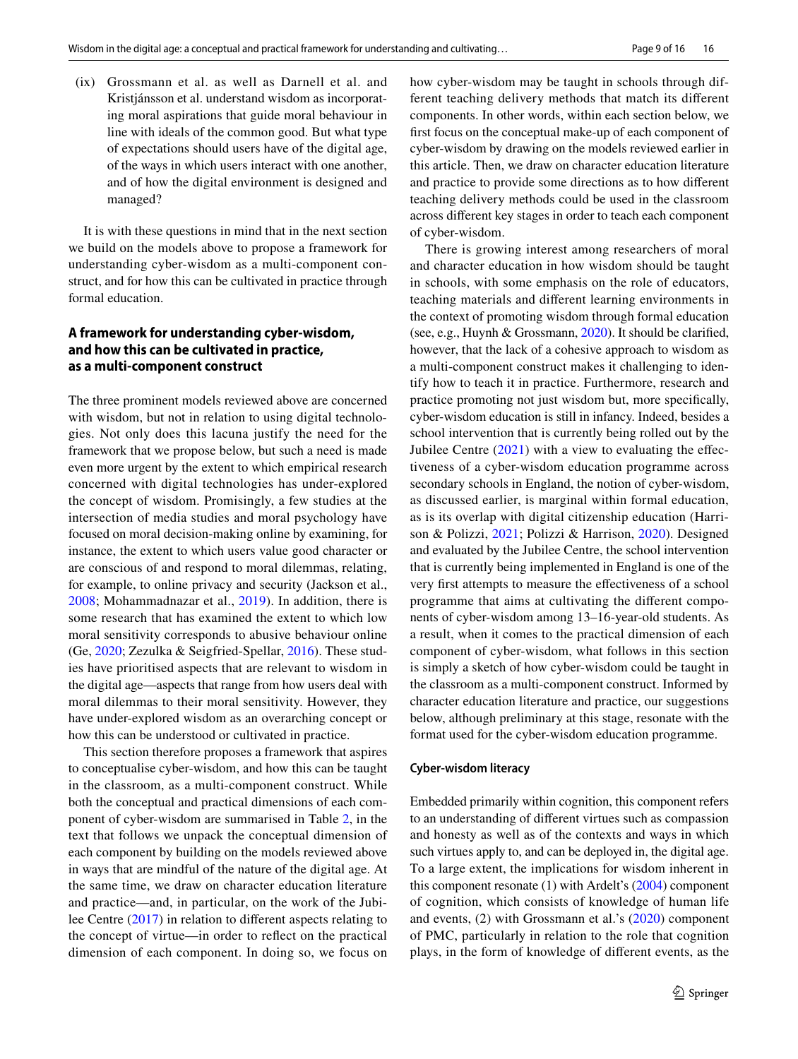(ix) Grossmann et al. as well as Darnell et al. and Kristiánsson et al. understand wisdom as incorporating moral aspirations that guide moral behaviour in line with ideals of the common good. But what type of expectations should users have of the digital age, of the ways in which users interact with one another, and of how the digital environment is designed and managed?

It is with these questions in mind that in the next section we build on the models above to propose a framework for understanding cyber-wisdom as a multi-component construct, and for how this can be cultivated in practice through formal education.

# **A framework for understanding cyber‑wisdom, and how this can be cultivated in practice, as a multi‑component construct**

The three prominent models reviewed above are concerned with wisdom, but not in relation to using digital technologies. Not only does this lacuna justify the need for the framework that we propose below, but such a need is made even more urgent by the extent to which empirical research concerned with digital technologies has under-explored the concept of wisdom. Promisingly, a few studies at the intersection of media studies and moral psychology have focused on moral decision-making online by examining, for instance, the extent to which users value good character or are conscious of and respond to moral dilemmas, relating, for example, to online privacy and security (Jackson et al., [2008;](#page-15-29) Mohammadnazar et al., [2019\)](#page-15-30). In addition, there is some research that has examined the extent to which low moral sensitivity corresponds to abusive behaviour online (Ge, [2020](#page-14-13); Zezulka & Seigfried-Spellar, [2016\)](#page-16-3). These studies have prioritised aspects that are relevant to wisdom in the digital age—aspects that range from how users deal with moral dilemmas to their moral sensitivity. However, they have under-explored wisdom as an overarching concept or how this can be understood or cultivated in practice.

This section therefore proposes a framework that aspires to conceptualise cyber-wisdom, and how this can be taught in the classroom, as a multi-component construct. While both the conceptual and practical dimensions of each component of cyber-wisdom are summarised in Table [2,](#page-10-0) in the text that follows we unpack the conceptual dimension of each component by building on the models reviewed above in ways that are mindful of the nature of the digital age. At the same time, we draw on character education literature and practice—and, in particular, on the work of the Jubilee Centre [\(2017\)](#page-15-1) in relation to diferent aspects relating to the concept of virtue—in order to refect on the practical dimension of each component. In doing so, we focus on how cyber-wisdom may be taught in schools through different teaching delivery methods that match its diferent components. In other words, within each section below, we frst focus on the conceptual make-up of each component of cyber-wisdom by drawing on the models reviewed earlier in this article. Then, we draw on character education literature and practice to provide some directions as to how diferent teaching delivery methods could be used in the classroom across diferent key stages in order to teach each component of cyber-wisdom.

There is growing interest among researchers of moral and character education in how wisdom should be taught in schools, with some emphasis on the role of educators, teaching materials and diferent learning environments in the context of promoting wisdom through formal education (see, e.g., Huynh & Grossmann, [2020](#page-15-20)). It should be clarifed, however, that the lack of a cohesive approach to wisdom as a multi-component construct makes it challenging to identify how to teach it in practice. Furthermore, research and practice promoting not just wisdom but, more specifcally, cyber-wisdom education is still in infancy. Indeed, besides a school intervention that is currently being rolled out by the Jubilee Centre  $(2021)$  $(2021)$  with a view to evaluating the effectiveness of a cyber-wisdom education programme across secondary schools in England, the notion of cyber-wisdom, as discussed earlier, is marginal within formal education, as is its overlap with digital citizenship education (Harrison & Polizzi, [2021;](#page-15-31) Polizzi & Harrison, [2020\)](#page-16-8). Designed and evaluated by the Jubilee Centre, the school intervention that is currently being implemented in England is one of the very frst attempts to measure the efectiveness of a school programme that aims at cultivating the diferent components of cyber-wisdom among 13–16-year-old students. As a result, when it comes to the practical dimension of each component of cyber-wisdom, what follows in this section is simply a sketch of how cyber-wisdom could be taught in the classroom as a multi-component construct. Informed by character education literature and practice, our suggestions below, although preliminary at this stage, resonate with the format used for the cyber-wisdom education programme.

#### **Cyber‑wisdom literacy**

Embedded primarily within cognition, this component refers to an understanding of diferent virtues such as compassion and honesty as well as of the contexts and ways in which such virtues apply to, and can be deployed in, the digital age. To a large extent, the implications for wisdom inherent in this component resonate (1) with Ardelt's ([2004\)](#page-14-2) component of cognition, which consists of knowledge of human life and events, (2) with Grossmann et al.'s ([2020](#page-15-4)) component of PMC, particularly in relation to the role that cognition plays, in the form of knowledge of diferent events, as the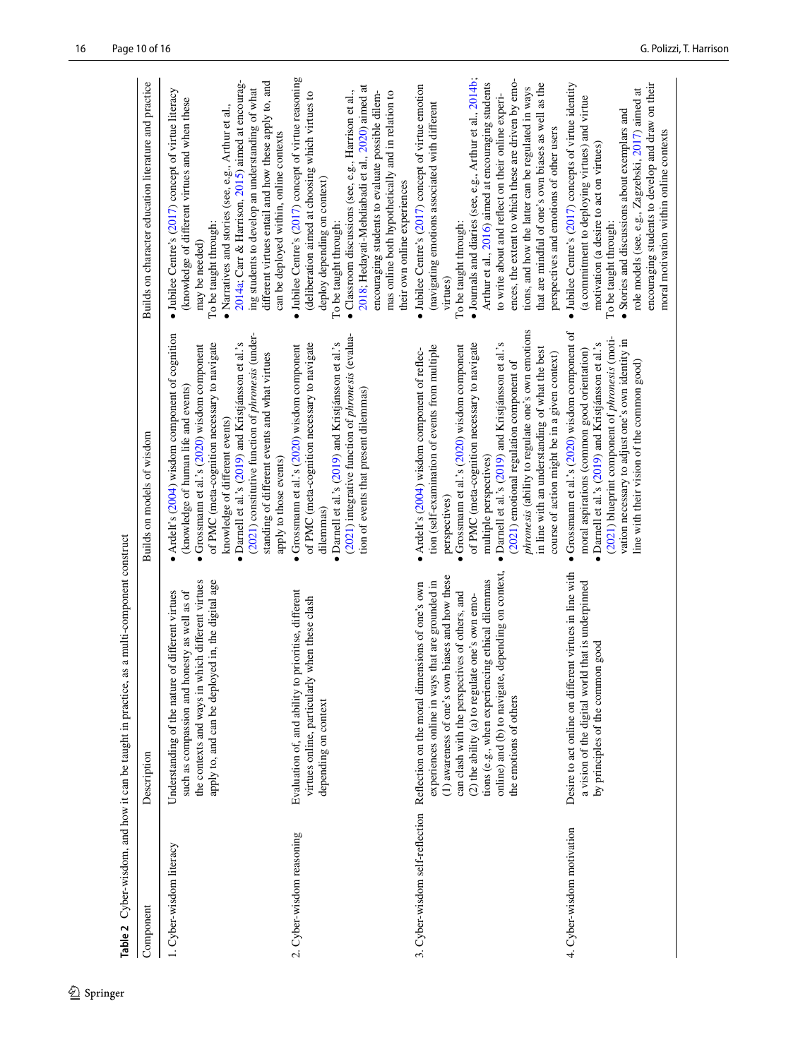<span id="page-10-0"></span>

| Description<br>1. Cyber-wisdom literacy<br>Component |                                                                                                                                                                                                                                                                                                                                                                                                    |                                                                                                                                                                                                                                                                                                                                                                                                                                                                                                         |                                                                                                                                                                                                                                                                                                                                                                                                                                                                                                                                                    |
|------------------------------------------------------|----------------------------------------------------------------------------------------------------------------------------------------------------------------------------------------------------------------------------------------------------------------------------------------------------------------------------------------------------------------------------------------------------|---------------------------------------------------------------------------------------------------------------------------------------------------------------------------------------------------------------------------------------------------------------------------------------------------------------------------------------------------------------------------------------------------------------------------------------------------------------------------------------------------------|----------------------------------------------------------------------------------------------------------------------------------------------------------------------------------------------------------------------------------------------------------------------------------------------------------------------------------------------------------------------------------------------------------------------------------------------------------------------------------------------------------------------------------------------------|
|                                                      |                                                                                                                                                                                                                                                                                                                                                                                                    | Builds on models of wisdom                                                                                                                                                                                                                                                                                                                                                                                                                                                                              | Builds on character education literature and practice                                                                                                                                                                                                                                                                                                                                                                                                                                                                                              |
|                                                      | the contexts and ways in which different virtues<br>apply to, and can be deployed in, the digital age<br>such as compassion and honesty as well as of<br>Understanding of the nature of different virtues                                                                                                                                                                                          | (2021) constitutive function of <i>phronesis</i> (under-<br>Ardelt's (2004) wisdom component of cognition<br>• Darnell et al.'s $(2019)$ and Kristjánsson et al.'s<br>of PMC (meta-cognition necessary to navigate<br>$\bullet$ Grossmann et al.'s (2020) wisdom component<br>standing of different events and what virtues<br>(knowledge of human life and events)<br>knowledge of different events)<br>apply to those events)                                                                         | 2014a; Carr & Harrison, 2015) aimed at encourag-<br>different virtues entail and how these apply to, and<br>$\bullet$ Jubilee Centre's (2017) concept of virtue literacy<br>ing students to develop an understanding of what<br>(knowledge of different virtues and when these<br>$\bullet$ Narratives and stories (see, e.g., Arthur et al.,<br>can be deployed within, online contexts<br>To be taught through:<br>may be needed)                                                                                                                |
| 2. Cyber-wisdom reasoning                            | Evaluation of, and ability to prioritise, different<br>when these clash<br>virtues online, particularly<br>depending on context                                                                                                                                                                                                                                                                    | (2021) integrative function of phronesis (evalua-<br>• Darnell et al.'s (2019) and Kristjánsson et al.'s<br>of PMC (meta-cognition necessary to navigate<br>· Grossmann et al.'s (2020) wisdom component<br>tion of events that present dilemmas)<br>dilemmas)                                                                                                                                                                                                                                          | · Jubilee Centre's (2017) concept of virtue reasoning<br>2018; Hedayati-Mehdiabadi et al., 2020) aimed at<br>(deliberation aimed at choosing which virtues to<br>$\bullet$ Classroom discussions (see, e.g., Harrison et al.,<br>encouraging students to evaluate possible dilem-<br>mas online both hypothetically and in relation to<br>deploy depending on context)<br>their own online experiences<br>To be taught through:                                                                                                                    |
| 3. Cyber-wisdom self-reflection                      | depending on context,<br>(1) awareness of one's own biases and how these<br>tions (e.g., when experiencing ethical dilemmas<br>that are grounded in<br>Reflection on the moral dimensions of one's own<br>can clash with the perspectives of others, and<br>(2) the ability (a) to regulate one's own emo-<br>experiences online in ways<br>online) and (b) to navigate,<br>the emotions of others | phronesis (ability to regulate one's own emotions<br>of PMC (meta-cognition necessary to navigate<br>• Darnell et al.'s $(2019)$ and Kristjánsson et al.'s<br>tion (self-examination of events from multiple<br>· Grossmann et al.'s (2020) wisdom component<br>in line with an understanding of what the best<br>· Ardelt's (2004) wisdom component of reflec-<br>course of action might be in a given context)<br>(2021) emotional regulation component of<br>multiple perspectives)<br>perspectives) | $\bullet$ Journals and diaries (see, e.g., Arthur et al., 2014b,<br>ences, the extent to which these are driven by emo-<br>Arthur et al., 2016) aimed at encouraging students<br>that are mindful of one's own biases as well as the<br>$\bullet$ Jubilee Centre's (2017) concept of virtue emotion<br>tions, and how the latter can be regulated in ways<br>to write about and reflect on their online experi-<br>(navigating emotions associated with different<br>perspectives and emotions of other users<br>To be taught through:<br>virtues) |
| 4. Cyber-wisdom motivation                           | Desire to act online on different virtues in line with<br>a vision of the digital world that is underpinned<br>by principles of the common good                                                                                                                                                                                                                                                    | · Grossmann et al.'s (2020) wisdom component of<br>(2021) blueprint component of phronesis (moti-<br>vation necessary to adjust one's own identity in<br>• Darnell et al.'s (2019) and Kristjánsson et al.'s<br>moral aspirations (common good orientation)<br>line with their vision of the common good)                                                                                                                                                                                               | $\bullet$ Jubilee Centre's (2017) concepts of virtue identity<br>encouraging students to develop and draw on their<br>role models (see. e.g., Zagzebski, 2017) aimed at<br>(a commitment to deploying virtues) and virtue<br>• Stories and discussions about exemplars and<br>moral motivation within online contexts<br>motivation (a desire to act on virtues)<br>To be taught through:                                                                                                                                                          |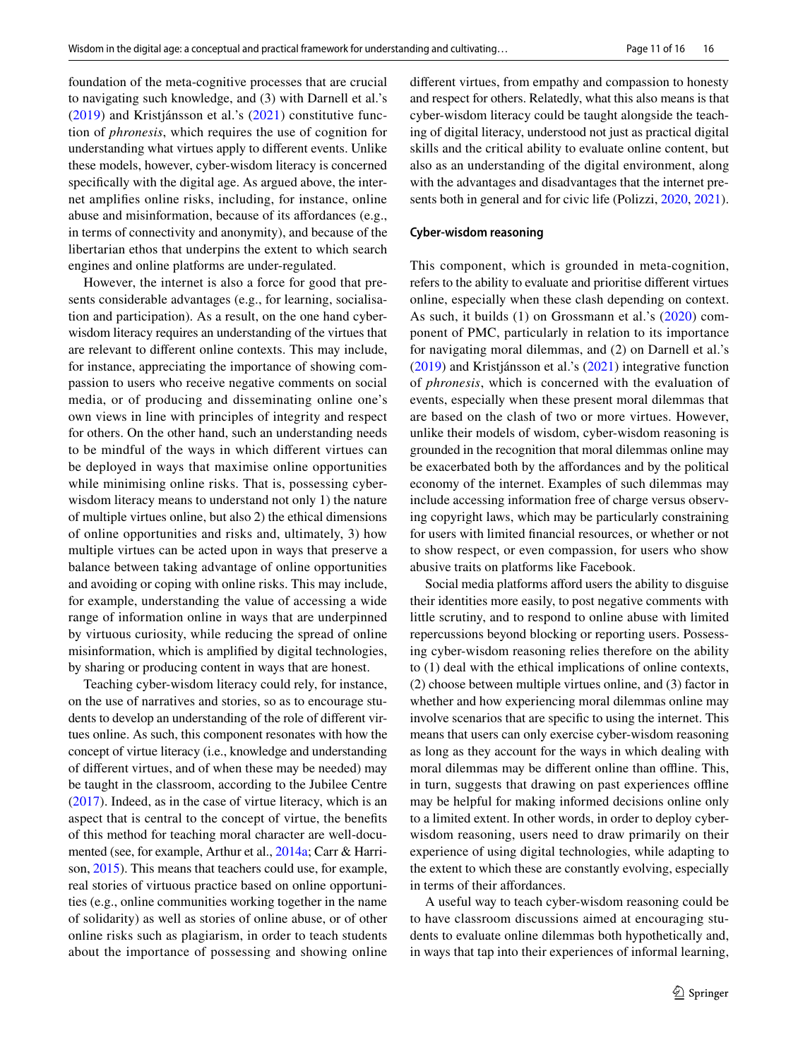foundation of the meta-cognitive processes that are crucial to navigating such knowledge, and (3) with Darnell et al.'s ([2019](#page-14-3)) and Kristjánsson et al.'s ([2021](#page-15-6)) constitutive function of *phronesis*, which requires the use of cognition for understanding what virtues apply to diferent events. Unlike these models, however, cyber-wisdom literacy is concerned specifcally with the digital age. As argued above, the internet amplifes online risks, including, for instance, online abuse and misinformation, because of its affordances (e.g., in terms of connectivity and anonymity), and because of the libertarian ethos that underpins the extent to which search engines and online platforms are under-regulated.

However, the internet is also a force for good that presents considerable advantages (e.g., for learning, socialisation and participation). As a result, on the one hand cyberwisdom literacy requires an understanding of the virtues that are relevant to diferent online contexts. This may include, for instance, appreciating the importance of showing compassion to users who receive negative comments on social media, or of producing and disseminating online one's own views in line with principles of integrity and respect for others. On the other hand, such an understanding needs to be mindful of the ways in which diferent virtues can be deployed in ways that maximise online opportunities while minimising online risks. That is, possessing cyberwisdom literacy means to understand not only 1) the nature of multiple virtues online, but also 2) the ethical dimensions of online opportunities and risks and, ultimately, 3) how multiple virtues can be acted upon in ways that preserve a balance between taking advantage of online opportunities and avoiding or coping with online risks. This may include, for example, understanding the value of accessing a wide range of information online in ways that are underpinned by virtuous curiosity, while reducing the spread of online misinformation, which is amplifed by digital technologies, by sharing or producing content in ways that are honest.

Teaching cyber-wisdom literacy could rely, for instance, on the use of narratives and stories, so as to encourage students to develop an understanding of the role of diferent virtues online. As such, this component resonates with how the concept of virtue literacy (i.e., knowledge and understanding of diferent virtues, and of when these may be needed) may be taught in the classroom, according to the Jubilee Centre [\(2017\)](#page-15-1). Indeed, as in the case of virtue literacy, which is an aspect that is central to the concept of virtue, the benefts of this method for teaching moral character are well-documented (see, for example, Arthur et al., [2014a;](#page-14-14) Carr & Harrison, [2015\)](#page-14-15). This means that teachers could use, for example, real stories of virtuous practice based on online opportunities (e.g., online communities working together in the name of solidarity) as well as stories of online abuse, or of other online risks such as plagiarism, in order to teach students about the importance of possessing and showing online diferent virtues, from empathy and compassion to honesty and respect for others. Relatedly, what this also means is that cyber-wisdom literacy could be taught alongside the teaching of digital literacy, understood not just as practical digital skills and the critical ability to evaluate online content, but also as an understanding of the digital environment, along with the advantages and disadvantages that the internet presents both in general and for civic life (Polizzi, [2020,](#page-16-14) [2021](#page-16-15)).

#### **Cyber‑wisdom reasoning**

This component, which is grounded in meta-cognition, refers to the ability to evaluate and prioritise diferent virtues online, especially when these clash depending on context. As such, it builds (1) on Grossmann et al.'s ([2020\)](#page-15-4) component of PMC, particularly in relation to its importance for navigating moral dilemmas, and (2) on Darnell et al.'s ([2019\)](#page-14-3) and Kristjánsson et al.'s ([2021\)](#page-15-6) integrative function of *phronesis*, which is concerned with the evaluation of events, especially when these present moral dilemmas that are based on the clash of two or more virtues. However, unlike their models of wisdom, cyber-wisdom reasoning is grounded in the recognition that moral dilemmas online may be exacerbated both by the afordances and by the political economy of the internet. Examples of such dilemmas may include accessing information free of charge versus observing copyright laws, which may be particularly constraining for users with limited fnancial resources, or whether or not to show respect, or even compassion, for users who show abusive traits on platforms like Facebook.

Social media platforms afford users the ability to disguise their identities more easily, to post negative comments with little scrutiny, and to respond to online abuse with limited repercussions beyond blocking or reporting users. Possessing cyber-wisdom reasoning relies therefore on the ability to (1) deal with the ethical implications of online contexts, (2) choose between multiple virtues online, and (3) factor in whether and how experiencing moral dilemmas online may involve scenarios that are specifc to using the internet. This means that users can only exercise cyber-wisdom reasoning as long as they account for the ways in which dealing with moral dilemmas may be different online than offline. This, in turn, suggests that drawing on past experiences offline may be helpful for making informed decisions online only to a limited extent. In other words, in order to deploy cyberwisdom reasoning, users need to draw primarily on their experience of using digital technologies, while adapting to the extent to which these are constantly evolving, especially in terms of their affordances.

A useful way to teach cyber-wisdom reasoning could be to have classroom discussions aimed at encouraging students to evaluate online dilemmas both hypothetically and, in ways that tap into their experiences of informal learning,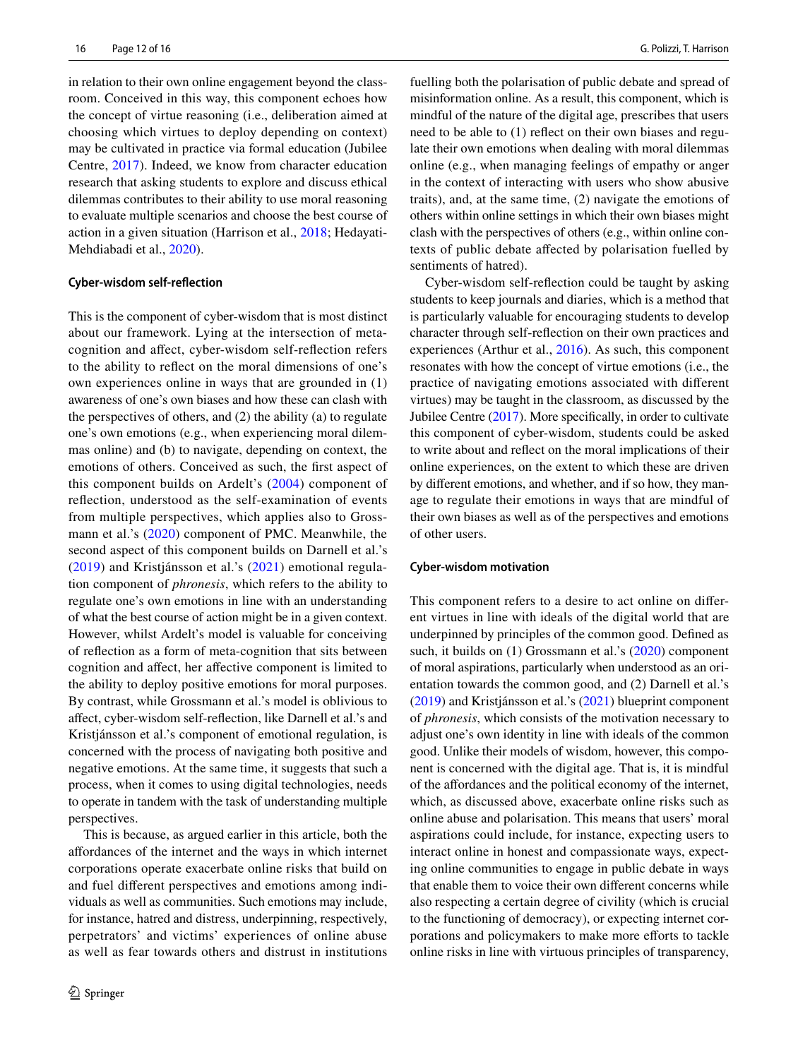in relation to their own online engagement beyond the classroom. Conceived in this way, this component echoes how the concept of virtue reasoning (i.e., deliberation aimed at choosing which virtues to deploy depending on context) may be cultivated in practice via formal education (Jubilee Centre, [2017](#page-15-1)). Indeed, we know from character education research that asking students to explore and discuss ethical dilemmas contributes to their ability to use moral reasoning to evaluate multiple scenarios and choose the best course of action in a given situation (Harrison et al., [2018](#page-15-32); Hedayati-Mehdiabadi et al., [2020](#page-15-33)).

#### **Cyber‑wisdom self‑refection**

This is the component of cyber-wisdom that is most distinct about our framework. Lying at the intersection of metacognition and afect, cyber-wisdom self-refection refers to the ability to refect on the moral dimensions of one's own experiences online in ways that are grounded in (1) awareness of one's own biases and how these can clash with the perspectives of others, and (2) the ability (a) to regulate one's own emotions (e.g., when experiencing moral dilemmas online) and (b) to navigate, depending on context, the emotions of others. Conceived as such, the frst aspect of this component builds on Ardelt's ([2004\)](#page-14-2) component of refection, understood as the self-examination of events from multiple perspectives, which applies also to Grossmann et al.'s [\(2020\)](#page-15-4) component of PMC. Meanwhile, the second aspect of this component builds on Darnell et al.'s ([2019](#page-14-3)) and Kristjánsson et al.'s [\(2021\)](#page-15-6) emotional regulation component of *phronesis*, which refers to the ability to regulate one's own emotions in line with an understanding of what the best course of action might be in a given context. However, whilst Ardelt's model is valuable for conceiving of refection as a form of meta-cognition that sits between cognition and afect, her afective component is limited to the ability to deploy positive emotions for moral purposes. By contrast, while Grossmann et al.'s model is oblivious to afect, cyber-wisdom self-refection, like Darnell et al.'s and Kristjánsson et al.'s component of emotional regulation, is concerned with the process of navigating both positive and negative emotions. At the same time, it suggests that such a process, when it comes to using digital technologies, needs to operate in tandem with the task of understanding multiple perspectives.

This is because, as argued earlier in this article, both the afordances of the internet and the ways in which internet corporations operate exacerbate online risks that build on and fuel diferent perspectives and emotions among individuals as well as communities. Such emotions may include, for instance, hatred and distress, underpinning, respectively, perpetrators' and victims' experiences of online abuse as well as fear towards others and distrust in institutions fuelling both the polarisation of public debate and spread of misinformation online. As a result, this component, which is mindful of the nature of the digital age, prescribes that users need to be able to (1) refect on their own biases and regulate their own emotions when dealing with moral dilemmas online (e.g., when managing feelings of empathy or anger in the context of interacting with users who show abusive traits), and, at the same time, (2) navigate the emotions of others within online settings in which their own biases might clash with the perspectives of others (e.g., within online contexts of public debate afected by polarisation fuelled by sentiments of hatred).

Cyber-wisdom self-refection could be taught by asking students to keep journals and diaries, which is a method that is particularly valuable for encouraging students to develop character through self-refection on their own practices and experiences (Arthur et al., [2016\)](#page-14-17). As such, this component resonates with how the concept of virtue emotions (i.e., the practice of navigating emotions associated with diferent virtues) may be taught in the classroom, as discussed by the Jubilee Centre ([2017\)](#page-15-1). More specifcally, in order to cultivate this component of cyber-wisdom, students could be asked to write about and refect on the moral implications of their online experiences, on the extent to which these are driven by diferent emotions, and whether, and if so how, they manage to regulate their emotions in ways that are mindful of their own biases as well as of the perspectives and emotions of other users.

#### **Cyber‑wisdom motivation**

This component refers to a desire to act online on diferent virtues in line with ideals of the digital world that are underpinned by principles of the common good. Defned as such, it builds on (1) Grossmann et al.'s [\(2020](#page-15-4)) component of moral aspirations, particularly when understood as an orientation towards the common good, and (2) Darnell et al.'s [\(2019\)](#page-14-3) and Kristjánsson et al.'s [\(2021\)](#page-15-6) blueprint component of *phronesis*, which consists of the motivation necessary to adjust one's own identity in line with ideals of the common good. Unlike their models of wisdom, however, this component is concerned with the digital age. That is, it is mindful of the afordances and the political economy of the internet, which, as discussed above, exacerbate online risks such as online abuse and polarisation. This means that users' moral aspirations could include, for instance, expecting users to interact online in honest and compassionate ways, expecting online communities to engage in public debate in ways that enable them to voice their own diferent concerns while also respecting a certain degree of civility (which is crucial to the functioning of democracy), or expecting internet corporations and policymakers to make more efforts to tackle online risks in line with virtuous principles of transparency,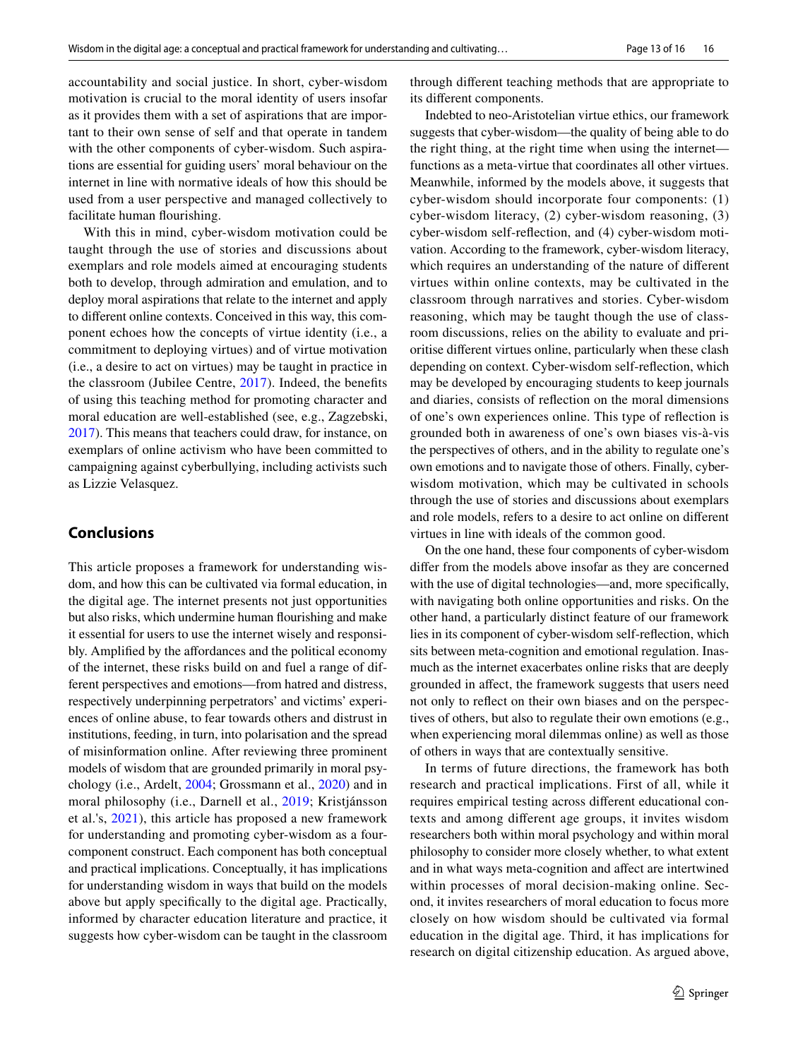accountability and social justice. In short, cyber-wisdom motivation is crucial to the moral identity of users insofar as it provides them with a set of aspirations that are important to their own sense of self and that operate in tandem with the other components of cyber-wisdom. Such aspirations are essential for guiding users' moral behaviour on the internet in line with normative ideals of how this should be used from a user perspective and managed collectively to facilitate human fourishing.

With this in mind, cyber-wisdom motivation could be taught through the use of stories and discussions about exemplars and role models aimed at encouraging students both to develop, through admiration and emulation, and to deploy moral aspirations that relate to the internet and apply to diferent online contexts. Conceived in this way, this component echoes how the concepts of virtue identity (i.e., a commitment to deploying virtues) and of virtue motivation (i.e., a desire to act on virtues) may be taught in practice in the classroom (Jubilee Centre, [2017](#page-15-1)). Indeed, the benefts of using this teaching method for promoting character and moral education are well-established (see, e.g., Zagzebski, [2017](#page-16-13)). This means that teachers could draw, for instance, on exemplars of online activism who have been committed to campaigning against cyberbullying, including activists such as Lizzie Velasquez.

# **Conclusions**

This article proposes a framework for understanding wisdom, and how this can be cultivated via formal education, in the digital age. The internet presents not just opportunities but also risks, which undermine human fourishing and make it essential for users to use the internet wisely and responsibly. Amplifed by the afordances and the political economy of the internet, these risks build on and fuel a range of different perspectives and emotions—from hatred and distress, respectively underpinning perpetrators' and victims' experiences of online abuse, to fear towards others and distrust in institutions, feeding, in turn, into polarisation and the spread of misinformation online. After reviewing three prominent models of wisdom that are grounded primarily in moral psychology (i.e., Ardelt, [2004](#page-14-2); Grossmann et al., [2020\)](#page-15-4) and in moral philosophy (i.e., Darnell et al., [2019](#page-14-3); Kristjánsson et al.'s, [2021\)](#page-15-6), this article has proposed a new framework for understanding and promoting cyber-wisdom as a fourcomponent construct. Each component has both conceptual and practical implications. Conceptually, it has implications for understanding wisdom in ways that build on the models above but apply specifcally to the digital age. Practically, informed by character education literature and practice, it suggests how cyber-wisdom can be taught in the classroom through diferent teaching methods that are appropriate to its diferent components.

Indebted to neo-Aristotelian virtue ethics, our framework suggests that cyber-wisdom—the quality of being able to do the right thing, at the right time when using the internet functions as a meta-virtue that coordinates all other virtues. Meanwhile, informed by the models above, it suggests that cyber-wisdom should incorporate four components: (1) cyber-wisdom literacy, (2) cyber-wisdom reasoning, (3) cyber-wisdom self-refection, and (4) cyber-wisdom motivation. According to the framework, cyber-wisdom literacy, which requires an understanding of the nature of diferent virtues within online contexts, may be cultivated in the classroom through narratives and stories. Cyber-wisdom reasoning, which may be taught though the use of classroom discussions, relies on the ability to evaluate and prioritise diferent virtues online, particularly when these clash depending on context. Cyber-wisdom self-refection, which may be developed by encouraging students to keep journals and diaries, consists of refection on the moral dimensions of one's own experiences online. This type of refection is grounded both in awareness of one's own biases vis-à-vis the perspectives of others, and in the ability to regulate one's own emotions and to navigate those of others. Finally, cyberwisdom motivation, which may be cultivated in schools through the use of stories and discussions about exemplars and role models, refers to a desire to act online on diferent virtues in line with ideals of the common good.

On the one hand, these four components of cyber-wisdom difer from the models above insofar as they are concerned with the use of digital technologies—and, more specifcally, with navigating both online opportunities and risks. On the other hand, a particularly distinct feature of our framework lies in its component of cyber-wisdom self-refection, which sits between meta-cognition and emotional regulation. Inasmuch as the internet exacerbates online risks that are deeply grounded in afect, the framework suggests that users need not only to refect on their own biases and on the perspectives of others, but also to regulate their own emotions (e.g., when experiencing moral dilemmas online) as well as those of others in ways that are contextually sensitive.

In terms of future directions, the framework has both research and practical implications. First of all, while it requires empirical testing across diferent educational contexts and among diferent age groups, it invites wisdom researchers both within moral psychology and within moral philosophy to consider more closely whether, to what extent and in what ways meta-cognition and afect are intertwined within processes of moral decision-making online. Second, it invites researchers of moral education to focus more closely on how wisdom should be cultivated via formal education in the digital age. Third, it has implications for research on digital citizenship education. As argued above,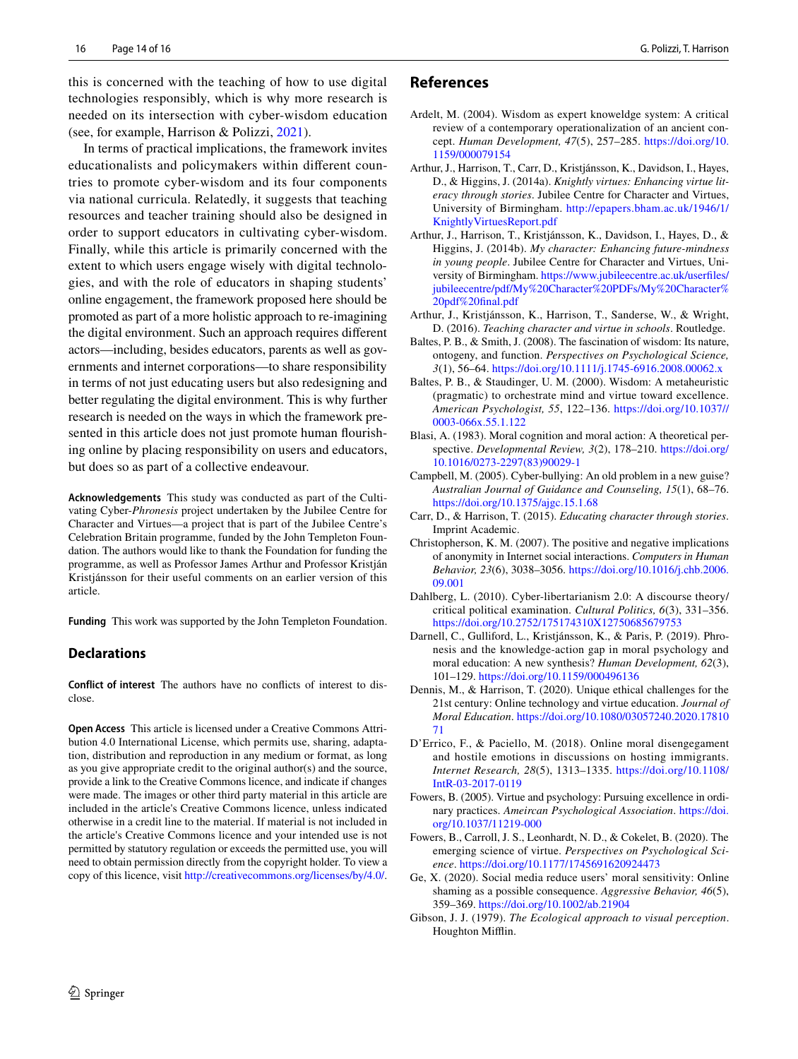this is concerned with the teaching of how to use digital technologies responsibly, which is why more research is needed on its intersection with cyber-wisdom education (see, for example, Harrison & Polizzi, [2021\)](#page-15-31).

In terms of practical implications, the framework invites educationalists and policymakers within diferent countries to promote cyber-wisdom and its four components via national curricula. Relatedly, it suggests that teaching resources and teacher training should also be designed in order to support educators in cultivating cyber-wisdom. Finally, while this article is primarily concerned with the extent to which users engage wisely with digital technologies, and with the role of educators in shaping students' online engagement, the framework proposed here should be promoted as part of a more holistic approach to re-imagining the digital environment. Such an approach requires diferent actors—including, besides educators, parents as well as governments and internet corporations—to share responsibility in terms of not just educating users but also redesigning and better regulating the digital environment. This is why further research is needed on the ways in which the framework presented in this article does not just promote human flourishing online by placing responsibility on users and educators, but does so as part of a collective endeavour.

**Acknowledgements** This study was conducted as part of the Cultivating Cyber-*Phronesis* project undertaken by the Jubilee Centre for Character and Virtues—a project that is part of the Jubilee Centre's Celebration Britain programme, funded by the John Templeton Foundation. The authors would like to thank the Foundation for funding the programme, as well as Professor James Arthur and Professor Kristján Kristjánsson for their useful comments on an earlier version of this article.

**Funding** This work was supported by the John Templeton Foundation.

#### **Declarations**

**Conflict of interest** The authors have no conficts of interest to disclose.

**Open Access** This article is licensed under a Creative Commons Attribution 4.0 International License, which permits use, sharing, adaptation, distribution and reproduction in any medium or format, as long as you give appropriate credit to the original author(s) and the source, provide a link to the Creative Commons licence, and indicate if changes were made. The images or other third party material in this article are included in the article's Creative Commons licence, unless indicated otherwise in a credit line to the material. If material is not included in the article's Creative Commons licence and your intended use is not permitted by statutory regulation or exceeds the permitted use, you will need to obtain permission directly from the copyright holder. To view a copy of this licence, visit <http://creativecommons.org/licenses/by/4.0/>.

#### **References**

- <span id="page-14-2"></span>Ardelt, M. (2004). Wisdom as expert knoweldge system: A critical review of a contemporary operationalization of an ancient concept. *Human Development, 47*(5), 257–285. [https://doi.org/10.](https://doi.org/10.1159/000079154) [1159/000079154](https://doi.org/10.1159/000079154)
- <span id="page-14-14"></span>Arthur, J., Harrison, T., Carr, D., Kristjánsson, K., Davidson, I., Hayes, D., & Higgins, J. (2014a). *Knightly virtues: Enhancing virtue literacy through stories*. Jubilee Centre for Character and Virtues, University of Birmingham. [http://epapers.bham.ac.uk/1946/1/](http://epapers.bham.ac.uk/1946/1/KnightlyVirtuesReport.pdf) [KnightlyVirtuesReport.pdf](http://epapers.bham.ac.uk/1946/1/KnightlyVirtuesReport.pdf)
- <span id="page-14-16"></span>Arthur, J., Harrison, T., Kristjánsson, K., Davidson, I., Hayes, D., & Higgins, J. (2014b). *My character: Enhancing future-mindness in young people*. Jubilee Centre for Character and Virtues, University of Birmingham. [https://www.jubileecentre.ac.uk/userfiles/](https://www.jubileecentre.ac.uk/userfiles/jubileecentre/pdf/My%20Character%20PDFs/My%20Character%20pdf%20final.pdf) [jubileecentre/pdf/My%20Character%20PDFs/My%20Character%](https://www.jubileecentre.ac.uk/userfiles/jubileecentre/pdf/My%20Character%20PDFs/My%20Character%20pdf%20final.pdf) [20pdf%20fnal.pdf](https://www.jubileecentre.ac.uk/userfiles/jubileecentre/pdf/My%20Character%20PDFs/My%20Character%20pdf%20final.pdf)
- <span id="page-14-17"></span>Arthur, J., Kristjánsson, K., Harrison, T., Sanderse, W., & Wright, D. (2016). *Teaching character and virtue in schools*. Routledge.
- <span id="page-14-8"></span>Baltes, P. B., & Smith, J. (2008). The fascination of wisdom: Its nature, ontogeny, and function. *Perspectives on Psychological Science, 3*(1), 56–64.<https://doi.org/10.1111/j.1745-6916.2008.00062.x>
- <span id="page-14-11"></span>Baltes, P. B., & Staudinger, U. M. (2000). Wisdom: A metaheuristic (pragmatic) to orchestrate mind and virtue toward excellence. *American Psychologist, 55*, 122–136. [https://doi.org/10.1037//](https://doi.org/10.1037//0003-066x.55.1.122) [0003-066x.55.1.122](https://doi.org/10.1037//0003-066x.55.1.122)
- <span id="page-14-10"></span>Blasi, A. (1983). Moral cognition and moral action: A theoretical perspective. *Developmental Review, 3*(2), 178–210. [https://doi.org/](https://doi.org/10.1016/0273-2297(83)90029-1) [10.1016/0273-2297\(83\)90029-1](https://doi.org/10.1016/0273-2297(83)90029-1)
- <span id="page-14-5"></span>Campbell, M. (2005). Cyber-bullying: An old problem in a new guise? *Australian Journal of Guidance and Counseling, 15*(1), 68–76. <https://doi.org/10.1375/ajgc.15.1.68>
- <span id="page-14-15"></span>Carr, D., & Harrison, T. (2015). *Educating character through stories*. Imprint Academic.
- <span id="page-14-6"></span>Christopherson, K. M. (2007). The positive and negative implications of anonymity in Internet social interactions. *Computers in Human Behavior, 23*(6), 3038–3056. [https://doi.org/10.1016/j.chb.2006.](https://doi.org/10.1016/j.chb.2006.09.001) [09.001](https://doi.org/10.1016/j.chb.2006.09.001)
- <span id="page-14-7"></span>Dahlberg, L. (2010). Cyber-libertarianism 2.0: A discourse theory/ critical political examination. *Cultural Politics, 6*(3), 331–356. <https://doi.org/10.2752/175174310X12750685679753>
- <span id="page-14-3"></span>Darnell, C., Gulliford, L., Kristjánsson, K., & Paris, P. (2019). Phronesis and the knowledge-action gap in moral psychology and moral education: A new synthesis? *Human Development, 62*(3), 101–129.<https://doi.org/10.1159/000496136>
- <span id="page-14-1"></span>Dennis, M., & Harrison, T. (2020). Unique ethical challenges for the 21st century: Online technology and virtue education. *Journal of Moral Education*. [https://doi.org/10.1080/03057240.2020.17810](https://doi.org/10.1080/03057240.2020.1781071) [71](https://doi.org/10.1080/03057240.2020.1781071)
- <span id="page-14-0"></span>D'Errico, F., & Paciello, M. (2018). Online moral disengegament and hostile emotions in discussions on hosting immigrants. *Internet Research, 28*(5), 1313–1335. [https://doi.org/10.1108/](https://doi.org/10.1108/IntR-03-2017-0119) [IntR-03-2017-0119](https://doi.org/10.1108/IntR-03-2017-0119)
- <span id="page-14-9"></span>Fowers, B. (2005). Virtue and psychology: Pursuing excellence in ordinary practices. *Ameircan Psychological Association*. [https://doi.](https://doi.org/10.1037/11219-000) [org/10.1037/11219-000](https://doi.org/10.1037/11219-000)
- <span id="page-14-12"></span>Fowers, B., Carroll, J. S., Leonhardt, N. D., & Cokelet, B. (2020). The emerging science of virtue. *Perspectives on Psychological Science*.<https://doi.org/10.1177/1745691620924473>
- <span id="page-14-13"></span>Ge, X. (2020). Social media reduce users' moral sensitivity: Online shaming as a possible consequence. *Aggressive Behavior, 46*(5), 359–369.<https://doi.org/10.1002/ab.21904>
- <span id="page-14-4"></span>Gibson, J. J. (1979). *The Ecological approach to visual perception*. Houghton Mifin.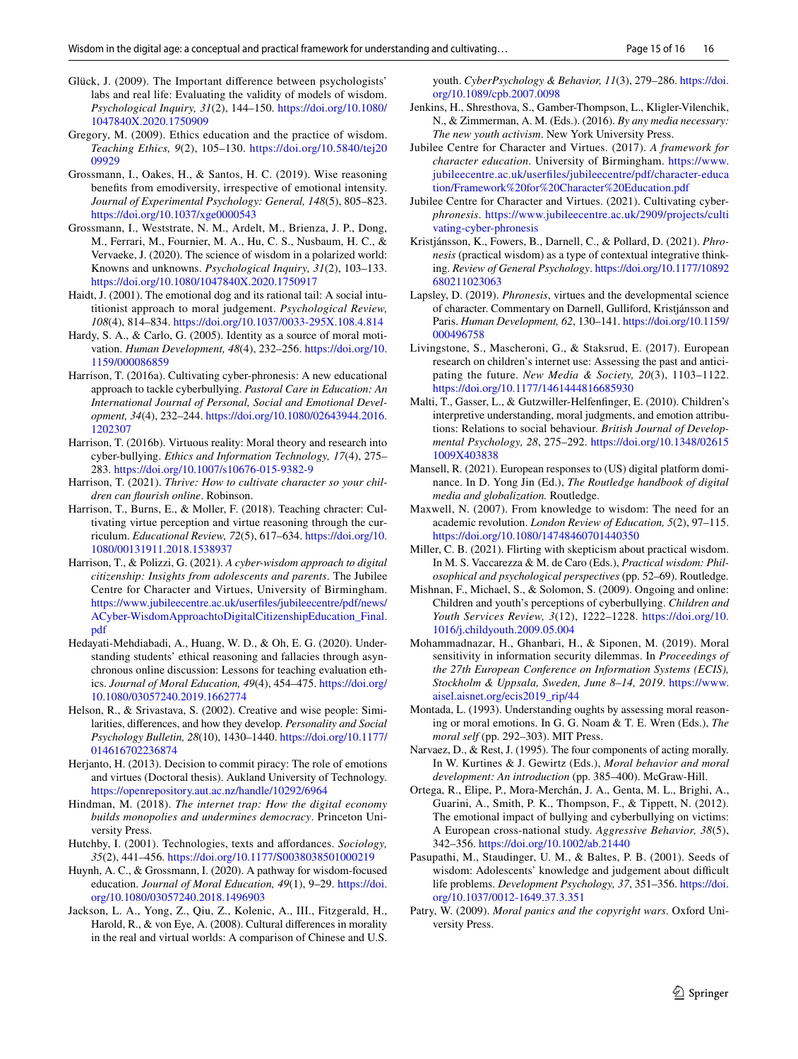- <span id="page-15-17"></span>Glück, J. (2009). The Important diference between psychologists' labs and real life: Evaluating the validity of models of wisdom. *Psychological Inquiry, 31*(2), 144–150. [https://doi.org/10.1080/](https://doi.org/10.1080/1047840X.2020.1750909) [1047840X.2020.1750909](https://doi.org/10.1080/1047840X.2020.1750909)
- <span id="page-15-19"></span>Gregory, M. (2009). Ethics education and the practice of wisdom. *Teaching Ethics, 9*(2), 105–130. [https://doi.org/10.5840/tej20](https://doi.org/10.5840/tej2009929) [09929](https://doi.org/10.5840/tej2009929)
- <span id="page-15-28"></span>Grossmann, I., Oakes, H., & Santos, H. C. (2019). Wise reasoning benefts from emodiversity, irrespective of emotional intensity. *Journal of Experimental Psychology: General, 148*(5), 805–823. <https://doi.org/10.1037/xge0000543>
- <span id="page-15-4"></span>Grossmann, I., Weststrate, N. M., Ardelt, M., Brienza, J. P., Dong, M., Ferrari, M., Fournier, M. A., Hu, C. S., Nusbaum, H. C., & Vervaeke, J. (2020). The science of wisdom in a polarized world: Knowns and unknowns. *Psychological Inquiry, 31*(2), 103–133. <https://doi.org/10.1080/1047840X.2020.1750917>
- <span id="page-15-23"></span>Haidt, J. (2001). The emotional dog and its rational tail: A social intutitionist approach to moral judgement. *Psychological Review, 108*(4), 814–834.<https://doi.org/10.1037/0033-295X.108.4.814>
- <span id="page-15-24"></span>Hardy, S. A., & Carlo, G. (2005). Identity as a source of moral motivation. *Human Development, 48*(4), 232–256. [https://doi.org/10.](https://doi.org/10.1159/000086859) [1159/000086859](https://doi.org/10.1159/000086859)
- <span id="page-15-15"></span>Harrison, T. (2016a). Cultivating cyber-phronesis: A new educational approach to tackle cyberbullying. *Pastoral Care in Education: An International Journal of Personal, Social and Emotional Development, 34*(4), 232–244. [https://doi.org/10.1080/02643944.2016.](https://doi.org/10.1080/02643944.2016.1202307) [1202307](https://doi.org/10.1080/02643944.2016.1202307)
- <span id="page-15-16"></span>Harrison, T. (2016b). Virtuous reality: Moral theory and research into cyber-bullying. *Ethics and Information Technology, 17*(4), 275– 283.<https://doi.org/10.1007/s10676-015-9382-9>
- <span id="page-15-0"></span>Harrison, T. (2021). *Thrive: How to cultivate character so your children can fourish online*. Robinson.
- <span id="page-15-32"></span>Harrison, T., Burns, E., & Moller, F. (2018). Teaching chracter: Cultivating virtue perception and virtue reasoning through the curriculum. *Educational Review, 72*(5), 617–634. [https://doi.org/10.](https://doi.org/10.1080/00131911.2018.1538937) [1080/00131911.2018.1538937](https://doi.org/10.1080/00131911.2018.1538937)
- <span id="page-15-31"></span>Harrison, T., & Polizzi, G. (2021). *A cyber-wisdom approach to digital citizenship: Insights from adolescents and parents*. The Jubilee Centre for Character and Virtues, University of Birmingham. [https://www.jubileecentre.ac.uk/userfiles/jubileecentre/pdf/news/](https://www.jubileecentre.ac.uk/userfiles/jubileecentre/pdf/news/ACyber-WisdomApproachtoDigitalCitizenshipEducation_Final.pdf) [ACyber-WisdomApproachtoDigitalCitizenshipEducation\\_Final.](https://www.jubileecentre.ac.uk/userfiles/jubileecentre/pdf/news/ACyber-WisdomApproachtoDigitalCitizenshipEducation_Final.pdf) [pdf](https://www.jubileecentre.ac.uk/userfiles/jubileecentre/pdf/news/ACyber-WisdomApproachtoDigitalCitizenshipEducation_Final.pdf)
- <span id="page-15-33"></span>Hedayati-Mehdiabadi, A., Huang, W. D., & Oh, E. G. (2020). Understanding students' ethical reasoning and fallacies through asynchronous online discussion: Lessons for teaching evaluation ethics. *Journal of Moral Education, 49*(4), 454–475. [https://doi.org/](https://doi.org/10.1080/03057240.2019.1662774) [10.1080/03057240.2019.1662774](https://doi.org/10.1080/03057240.2019.1662774)
- <span id="page-15-18"></span>Helson, R., & Srivastava, S. (2002). Creative and wise people: Similarities, diferences, and how they develop. *Personality and Social Psychology Bulletin, 28*(10), 1430–1440. [https://doi.org/10.1177/](https://doi.org/10.1177/014616702236874) [014616702236874](https://doi.org/10.1177/014616702236874)
- <span id="page-15-12"></span>Herjanto, H. (2013). Decision to commit piracy: The role of emotions and virtues (Doctoral thesis). Aukland University of Technology. <https://openrepository.aut.ac.nz/handle/10292/6964>
- <span id="page-15-14"></span>Hindman, M. (2018). *The internet trap: How the digital economy builds monopolies and undermines democracy*. Princeton University Press.
- <span id="page-15-7"></span>Hutchby, I. (2001). Technologies, texts and afordances. *Sociology, 35*(2), 441–456.<https://doi.org/10.1177/S0038038501000219>
- <span id="page-15-20"></span>Huynh, A. C., & Grossmann, I. (2020). A pathway for wisdom-focused education. *Journal of Moral Education, 49*(1), 9–29. [https://doi.](https://doi.org/10.1080/03057240.2018.1496903) [org/10.1080/03057240.2018.1496903](https://doi.org/10.1080/03057240.2018.1496903)
- <span id="page-15-29"></span>Jackson, L. A., Yong, Z., Qiu, Z., Kolenic, A., III., Fitzgerald, H., Harold, R., & von Eye, A. (2008). Cultural diferences in morality in the real and virtual worlds: A comparison of Chinese and U.S.

youth. *CyberPsychology & Behavior, 11*(3), 279–286. [https://doi.](https://doi.org/10.1089/cpb.2007.0098) [org/10.1089/cpb.2007.0098](https://doi.org/10.1089/cpb.2007.0098)

- <span id="page-15-8"></span>Jenkins, H., Shresthova, S., Gamber-Thompson, L., Kligler-Vilenchik, N., & Zimmerman, A. M. (Eds.). (2016). *By any media necessary: The new youth activism*. New York University Press.
- <span id="page-15-1"></span>Jubilee Centre for Character and Virtues. (2017). *A framework for character education*. University of Birmingham. [https://www.](https://www.jubileecentre.ac.uk/userfiles/jubileecentre/pdf/character-education/Framework%20for%20Character%20Education.pdf) [jubileecentre.ac.uk/userfiles/jubileecentre/pdf/character-educa](https://www.jubileecentre.ac.uk/userfiles/jubileecentre/pdf/character-education/Framework%20for%20Character%20Education.pdf) [tion/Framework%20for%20Character%20Education.pdf](https://www.jubileecentre.ac.uk/userfiles/jubileecentre/pdf/character-education/Framework%20for%20Character%20Education.pdf)
- Jubilee Centre for Character and Virtues. (2021). Cultivating cyber*phronesis*. [https://www.jubileecentre.ac.uk/2909/projects/culti](https://www.jubileecentre.ac.uk/2909/projects/cultivating-cyber-phronesis) [vating-cyber-phronesis](https://www.jubileecentre.ac.uk/2909/projects/cultivating-cyber-phronesis)
- <span id="page-15-6"></span>Kristjánsson, K., Fowers, B., Darnell, C., & Pollard, D. (2021). *Phronesis* (practical wisdom) as a type of contextual integrative thinking. *Review of General Psychology*. [https://doi.org/10.1177/10892](https://doi.org/10.1177/10892680211023063) [680211023063](https://doi.org/10.1177/10892680211023063)
- <span id="page-15-27"></span>Lapsley, D. (2019). *Phronesis*, virtues and the developmental science of character. Commentary on Darnell, Gulliford, Kristjánsson and Paris. *Human Development, 62*, 130–141. [https://doi.org/10.1159/](https://doi.org/10.1159/000496758) [000496758](https://doi.org/10.1159/000496758)
- <span id="page-15-2"></span>Livingstone, S., Mascheroni, G., & Staksrud, E. (2017). European research on children's internet use: Assessing the past and anticipating the future. *New Media & Society, 20*(3), 1103–1122. <https://doi.org/10.1177/1461444816685930>
- <span id="page-15-10"></span>Malti, T., Gasser, L., & Gutzwiller-Helfenfnger, E. (2010). Children's interpretive understanding, moral judgments, and emotion attributions: Relations to social behaviour. *British Journal of Developmental Psychology, 28*, 275–292. [https://doi.org/10.1348/02615](https://doi.org/10.1348/026151009X403838) [1009X403838](https://doi.org/10.1348/026151009X403838)
- <span id="page-15-3"></span>Mansell, R. (2021). European responses to (US) digital platform dominance. In D. Yong Jin (Ed.), *The Routledge handbook of digital media and globalization.* Routledge.
- <span id="page-15-5"></span>Maxwell, N. (2007). From knowledge to wisdom: The need for an academic revolution. *London Review of Education, 5*(2), 97–115. <https://doi.org/10.1080/14748460701440350>
- <span id="page-15-26"></span>Miller, C. B. (2021). Flirting with skepticism about practical wisdom. In M. S. Vaccarezza & M. de Caro (Eds.), *Practical wisdom: Philosophical and psychological perspectives* (pp. 52–69). Routledge.
- <span id="page-15-9"></span>Mishnan, F., Michael, S., & Solomon, S. (2009). Ongoing and online: Children and youth's perceptions of cyberbullying. *Children and Youth Services Review, 3*(12), 1222–1228. [https://doi.org/10.](https://doi.org/10.1016/j.childyouth.2009.05.004) [1016/j.childyouth.2009.05.004](https://doi.org/10.1016/j.childyouth.2009.05.004)
- <span id="page-15-30"></span>Mohammadnazar, H., Ghanbari, H., & Siponen, M. (2019). Moral sensitivity in information security dilemmas. In *Proceedings of the 27th European Conference on Information Systems (ECIS), Stockholm & Uppsala, Sweden, June 8–14, 2019*. [https://www.](https://www.aisel.aisnet.org/ecis2019_rip/44) [aisel.aisnet.org/ecis2019\\_rip/44](https://www.aisel.aisnet.org/ecis2019_rip/44)
- <span id="page-15-21"></span>Montada, L. (1993). Understanding oughts by assessing moral reasoning or moral emotions. In G. G. Noam & T. E. Wren (Eds.), *The moral self* (pp. 292–303). MIT Press.
- <span id="page-15-22"></span>Narvaez, D., & Rest, J. (1995). The four components of acting morally. In W. Kurtines & J. Gewirtz (Eds.), *Moral behavior and moral development: An introduction* (pp. 385–400). McGraw-Hill.
- <span id="page-15-11"></span>Ortega, R., Elipe, P., Mora-Merchán, J. A., Genta, M. L., Brighi, A., Guarini, A., Smith, P. K., Thompson, F., & Tippett, N. (2012). The emotional impact of bullying and cyberbullying on victims: A European cross-national study. *Aggressive Behavior, 38*(5), 342–356.<https://doi.org/10.1002/ab.21440>
- <span id="page-15-25"></span>Pasupathi, M., Staudinger, U. M., & Baltes, P. B. (2001). Seeds of wisdom: Adolescents' knowledge and judgement about difficult life problems. *Development Psychology, 37*, 351–356. [https://doi.](https://doi.org/10.1037/0012-1649.37.3.351) [org/10.1037/0012-1649.37.3.351](https://doi.org/10.1037/0012-1649.37.3.351)
- <span id="page-15-13"></span>Patry, W. (2009). *Moral panics and the copyright wars*. Oxford University Press.